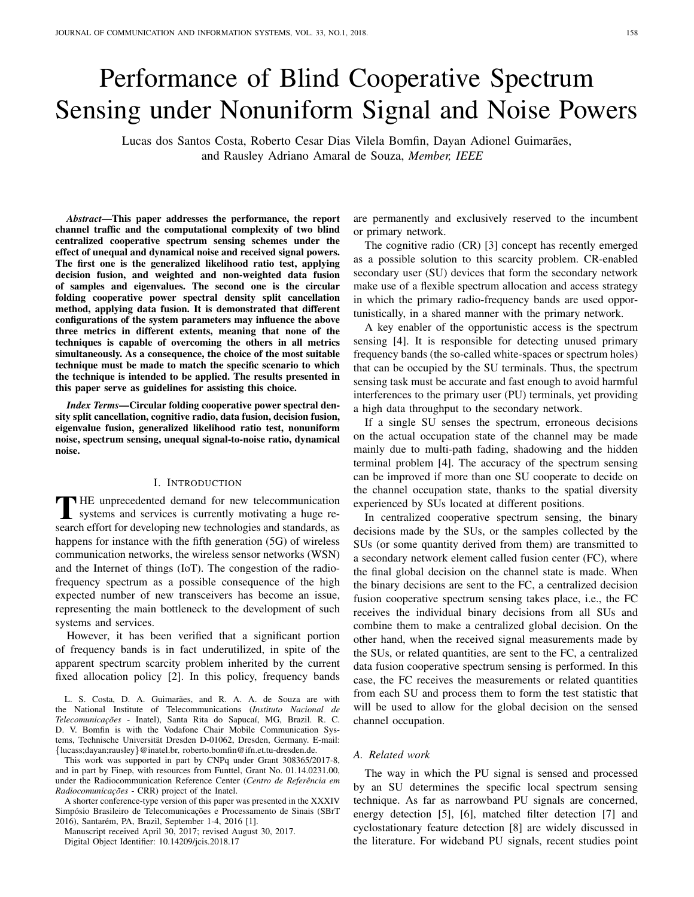# Performance of Blind Cooperative Spectrum Sensing under Nonuniform Signal and Noise Powers

Lucas dos Santos Costa, Roberto Cesar Dias Vilela Bomfin, Dayan Adionel Guimarães, and Rausley Adriano Amaral de Souza, *Member, IEEE*

*Abstract*—This paper addresses the performance, the report channel traffic and the computational complexity of two blind centralized cooperative spectrum sensing schemes under the effect of unequal and dynamical noise and received signal powers. The first one is the generalized likelihood ratio test, applying decision fusion, and weighted and non-weighted data fusion of samples and eigenvalues. The second one is the circular folding cooperative power spectral density split cancellation method, applying data fusion. It is demonstrated that different configurations of the system parameters may influence the above three metrics in different extents, meaning that none of the techniques is capable of overcoming the others in all metrics simultaneously. As a consequence, the choice of the most suitable technique must be made to match the specific scenario to which the technique is intended to be applied. The results presented in this paper serve as guidelines for assisting this choice.

*Index Terms*—Circular folding cooperative power spectral density split cancellation, cognitive radio, data fusion, decision fusion, eigenvalue fusion, generalized likelihood ratio test, nonuniform noise, spectrum sensing, unequal signal-to-noise ratio, dynamical noise.

#### I. INTRODUCTION

THE unprecedented demand for new telecommunication<br>systems and services is currently motivating a huge resystems and services is currently motivating a huge research effort for developing new technologies and standards, as happens for instance with the fifth generation (5G) of wireless communication networks, the wireless sensor networks (WSN) and the Internet of things (IoT). The congestion of the radiofrequency spectrum as a possible consequence of the high expected number of new transceivers has become an issue, representing the main bottleneck to the development of such systems and services.

However, it has been verified that a significant portion of frequency bands is in fact underutilized, in spite of the apparent spectrum scarcity problem inherited by the current fixed allocation policy [\[2\]](#page-11-0). In this policy, frequency bands

This work was supported in part by CNPq under Grant 308365/2017-8, and in part by Finep, with resources from Funttel, Grant No. 01.14.0231.00, under the Radiocommunication Reference Center (*Centro de Referência em Radiocomunicações* - CRR) project of the Inatel.

A shorter conference-type version of this paper was presented in the XXXIV Simpósio Brasileiro de Telecomunicações e Processamento de Sinais (SBrT) 2016), Santarém, PA, Brazil, September 1-4, 2016 [\[1\]](#page-11-1).

Manuscript received April 30, 2017; revised August 30, 2017. Digital Object Identifier: 10.14209/jcis.2018.17

are permanently and exclusively reserved to the incumbent or primary network.

The cognitive radio (CR) [\[3\]](#page-11-2) concept has recently emerged as a possible solution to this scarcity problem. CR-enabled secondary user (SU) devices that form the secondary network make use of a flexible spectrum allocation and access strategy in which the primary radio-frequency bands are used opportunistically, in a shared manner with the primary network.

A key enabler of the opportunistic access is the spectrum sensing [\[4\]](#page-11-3). It is responsible for detecting unused primary frequency bands (the so-called white-spaces or spectrum holes) that can be occupied by the SU terminals. Thus, the spectrum sensing task must be accurate and fast enough to avoid harmful interferences to the primary user (PU) terminals, yet providing a high data throughput to the secondary network.

If a single SU senses the spectrum, erroneous decisions on the actual occupation state of the channel may be made mainly due to multi-path fading, shadowing and the hidden terminal problem [\[4\]](#page-11-3). The accuracy of the spectrum sensing can be improved if more than one SU cooperate to decide on the channel occupation state, thanks to the spatial diversity experienced by SUs located at different positions.

In centralized cooperative spectrum sensing, the binary decisions made by the SUs, or the samples collected by the SUs (or some quantity derived from them) are transmitted to a secondary network element called fusion center (FC), where the final global decision on the channel state is made. When the binary decisions are sent to the FC, a centralized decision fusion cooperative spectrum sensing takes place, i.e., the FC receives the individual binary decisions from all SUs and combine them to make a centralized global decision. On the other hand, when the received signal measurements made by the SUs, or related quantities, are sent to the FC, a centralized data fusion cooperative spectrum sensing is performed. In this case, the FC receives the measurements or related quantities from each SU and process them to form the test statistic that will be used to allow for the global decision on the sensed channel occupation.

#### *A. Related work*

The way in which the PU signal is sensed and processed by an SU determines the specific local spectrum sensing technique. As far as narrowband PU signals are concerned, energy detection [\[5\]](#page-11-4), [\[6\]](#page-11-5), matched filter detection [\[7\]](#page-11-6) and cyclostationary feature detection [\[8\]](#page-11-7) are widely discussed in the literature. For wideband PU signals, recent studies point

L. S. Costa, D. A. Guimarães, and R. A. A. de Souza are with the National Institute of Telecommunications (*Instituto Nacional de Telecomunicac¸oes ˜* - Inatel), Santa Rita do Sapuca´ı, MG, Brazil. R. C. D. V. Bomfin is with the Vodafone Chair Mobile Communication Systems, Technische Universität Dresden D-01062, Dresden, Germany. E-mail: {lucass;dayan;rausley}@inatel.br, roberto.bomfin@ifn.et.tu-dresden.de.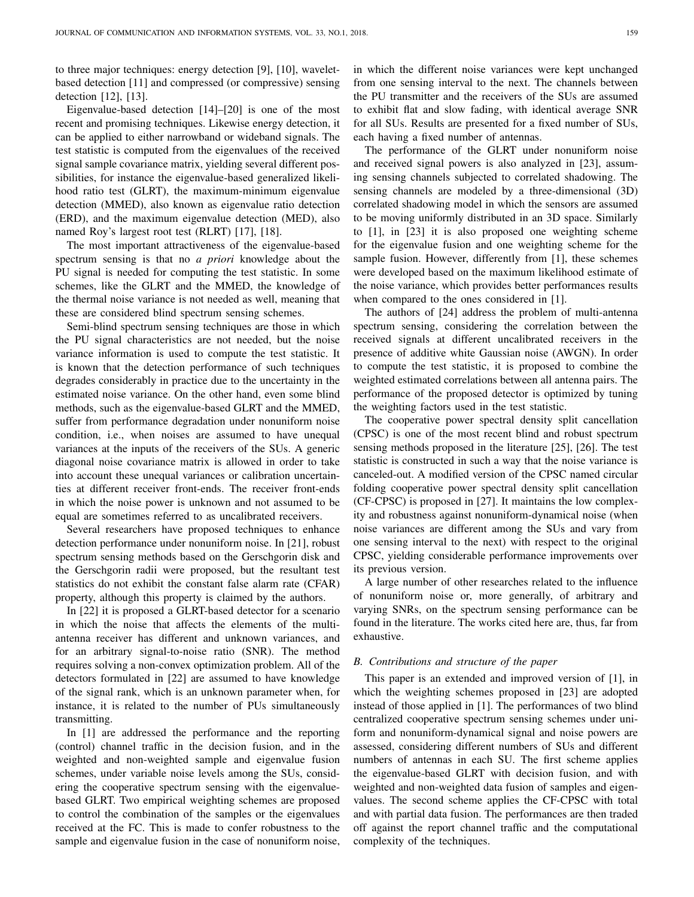to three major techniques: energy detection [\[9\]](#page-11-8), [\[10\]](#page-11-9), waveletbased detection [\[11\]](#page-11-10) and compressed (or compressive) sensing detection [\[12\]](#page-11-11), [\[13\]](#page-11-12).

Eigenvalue-based detection [\[14\]](#page-11-13)–[\[20\]](#page-12-0) is one of the most recent and promising techniques. Likewise energy detection, it can be applied to either narrowband or wideband signals. The test statistic is computed from the eigenvalues of the received signal sample covariance matrix, yielding several different possibilities, for instance the eigenvalue-based generalized likelihood ratio test (GLRT), the maximum-minimum eigenvalue detection (MMED), also known as eigenvalue ratio detection (ERD), and the maximum eigenvalue detection (MED), also named Roy's largest root test (RLRT) [\[17\]](#page-12-1), [\[18\]](#page-12-2).

The most important attractiveness of the eigenvalue-based spectrum sensing is that no *a priori* knowledge about the PU signal is needed for computing the test statistic. In some schemes, like the GLRT and the MMED, the knowledge of the thermal noise variance is not needed as well, meaning that these are considered blind spectrum sensing schemes.

Semi-blind spectrum sensing techniques are those in which the PU signal characteristics are not needed, but the noise variance information is used to compute the test statistic. It is known that the detection performance of such techniques degrades considerably in practice due to the uncertainty in the estimated noise variance. On the other hand, even some blind methods, such as the eigenvalue-based GLRT and the MMED, suffer from performance degradation under nonuniform noise condition, i.e., when noises are assumed to have unequal variances at the inputs of the receivers of the SUs. A generic diagonal noise covariance matrix is allowed in order to take into account these unequal variances or calibration uncertainties at different receiver front-ends. The receiver front-ends in which the noise power is unknown and not assumed to be equal are sometimes referred to as uncalibrated receivers.

Several researchers have proposed techniques to enhance detection performance under nonuniform noise. In [\[21\]](#page-12-3), robust spectrum sensing methods based on the Gerschgorin disk and the Gerschgorin radii were proposed, but the resultant test statistics do not exhibit the constant false alarm rate (CFAR) property, although this property is claimed by the authors.

In [\[22\]](#page-12-4) it is proposed a GLRT-based detector for a scenario in which the noise that affects the elements of the multiantenna receiver has different and unknown variances, and for an arbitrary signal-to-noise ratio (SNR). The method requires solving a non-convex optimization problem. All of the detectors formulated in [\[22\]](#page-12-4) are assumed to have knowledge of the signal rank, which is an unknown parameter when, for instance, it is related to the number of PUs simultaneously transmitting.

In [\[1\]](#page-11-1) are addressed the performance and the reporting (control) channel traffic in the decision fusion, and in the weighted and non-weighted sample and eigenvalue fusion schemes, under variable noise levels among the SUs, considering the cooperative spectrum sensing with the eigenvaluebased GLRT. Two empirical weighting schemes are proposed to control the combination of the samples or the eigenvalues received at the FC. This is made to confer robustness to the sample and eigenvalue fusion in the case of nonuniform noise, in which the different noise variances were kept unchanged from one sensing interval to the next. The channels between the PU transmitter and the receivers of the SUs are assumed to exhibit flat and slow fading, with identical average SNR for all SUs. Results are presented for a fixed number of SUs, each having a fixed number of antennas.

The performance of the GLRT under nonuniform noise and received signal powers is also analyzed in [\[23\]](#page-12-5), assuming sensing channels subjected to correlated shadowing. The sensing channels are modeled by a three-dimensional (3D) correlated shadowing model in which the sensors are assumed to be moving uniformly distributed in an 3D space. Similarly to [\[1\]](#page-11-1), in [\[23\]](#page-12-5) it is also proposed one weighting scheme for the eigenvalue fusion and one weighting scheme for the sample fusion. However, differently from [\[1\]](#page-11-1), these schemes were developed based on the maximum likelihood estimate of the noise variance, which provides better performances results when compared to the ones considered in [\[1\]](#page-11-1).

The authors of [\[24\]](#page-12-6) address the problem of multi-antenna spectrum sensing, considering the correlation between the received signals at different uncalibrated receivers in the presence of additive white Gaussian noise (AWGN). In order to compute the test statistic, it is proposed to combine the weighted estimated correlations between all antenna pairs. The performance of the proposed detector is optimized by tuning the weighting factors used in the test statistic.

The cooperative power spectral density split cancellation (CPSC) is one of the most recent blind and robust spectrum sensing methods proposed in the literature [\[25\]](#page-12-7), [\[26\]](#page-12-8). The test statistic is constructed in such a way that the noise variance is canceled-out. A modified version of the CPSC named circular folding cooperative power spectral density split cancellation (CF-CPSC) is proposed in [\[27\]](#page-12-9). It maintains the low complexity and robustness against nonuniform-dynamical noise (when noise variances are different among the SUs and vary from one sensing interval to the next) with respect to the original CPSC, yielding considerable performance improvements over its previous version.

A large number of other researches related to the influence of nonuniform noise or, more generally, of arbitrary and varying SNRs, on the spectrum sensing performance can be found in the literature. The works cited here are, thus, far from exhaustive.

#### *B. Contributions and structure of the paper*

This paper is an extended and improved version of [\[1\]](#page-11-1), in which the weighting schemes proposed in [\[23\]](#page-12-5) are adopted instead of those applied in [\[1\]](#page-11-1). The performances of two blind centralized cooperative spectrum sensing schemes under uniform and nonuniform-dynamical signal and noise powers are assessed, considering different numbers of SUs and different numbers of antennas in each SU. The first scheme applies the eigenvalue-based GLRT with decision fusion, and with weighted and non-weighted data fusion of samples and eigenvalues. The second scheme applies the CF-CPSC with total and with partial data fusion. The performances are then traded off against the report channel traffic and the computational complexity of the techniques.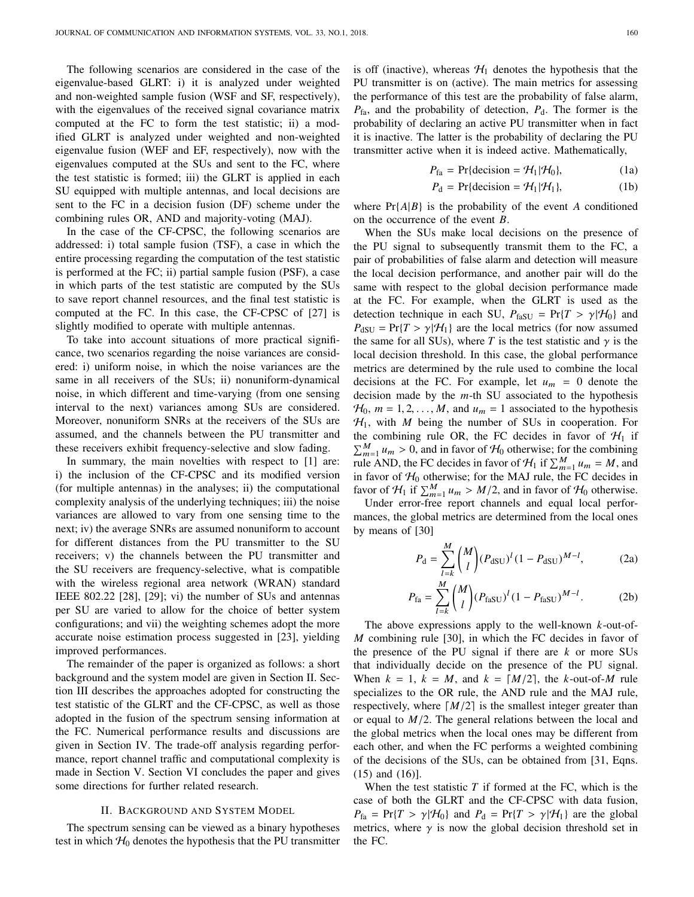The following scenarios are considered in the case of the eigenvalue-based GLRT: i) it is analyzed under weighted and non-weighted sample fusion (WSF and SF, respectively), with the eigenvalues of the received signal covariance matrix computed at the FC to form the test statistic; ii) a modified GLRT is analyzed under weighted and non-weighted eigenvalue fusion (WEF and EF, respectively), now with the eigenvalues computed at the SUs and sent to the FC, where the test statistic is formed; iii) the GLRT is applied in each SU equipped with multiple antennas, and local decisions are sent to the FC in a decision fusion (DF) scheme under the combining rules OR, AND and majority-voting (MAJ).

In the case of the CF-CPSC, the following scenarios are addressed: i) total sample fusion (TSF), a case in which the entire processing regarding the computation of the test statistic is performed at the FC; ii) partial sample fusion (PSF), a case in which parts of the test statistic are computed by the SUs to save report channel resources, and the final test statistic is computed at the FC. In this case, the CF-CPSC of [\[27\]](#page-12-9) is slightly modified to operate with multiple antennas.

To take into account situations of more practical significance, two scenarios regarding the noise variances are considered: i) uniform noise, in which the noise variances are the same in all receivers of the SUs; ii) nonuniform-dynamical noise, in which different and time-varying (from one sensing interval to the next) variances among SUs are considered. Moreover, nonuniform SNRs at the receivers of the SUs are assumed, and the channels between the PU transmitter and these receivers exhibit frequency-selective and slow fading.

In summary, the main novelties with respect to [\[1\]](#page-11-1) are: i) the inclusion of the CF-CPSC and its modified version (for multiple antennas) in the analyses; ii) the computational complexity analysis of the underlying techniques; iii) the noise variances are allowed to vary from one sensing time to the next; iv) the average SNRs are assumed nonuniform to account for different distances from the PU transmitter to the SU receivers; v) the channels between the PU transmitter and the SU receivers are frequency-selective, what is compatible with the wireless regional area network (WRAN) standard IEEE 802.22 [\[28\]](#page-12-10), [\[29\]](#page-12-11); vi) the number of SUs and antennas per SU are varied to allow for the choice of better system configurations; and vii) the weighting schemes adopt the more accurate noise estimation process suggested in [\[23\]](#page-12-5), yielding improved performances.

The remainder of the paper is organized as follows: a short background and the system model are given in Section [II.](#page-2-0) Section [III](#page-3-0) describes the approaches adopted for constructing the test statistic of the GLRT and the CF-CPSC, as well as those adopted in the fusion of the spectrum sensing information at the FC. Numerical performance results and discussions are given in Section [IV.](#page-5-0) The trade-off analysis regarding performance, report channel traffic and computational complexity is made in Section [V.](#page-9-0) Section [VI](#page-11-14) concludes the paper and gives some directions for further related research.

## II. BACKGROUND AND SYSTEM MODEL

<span id="page-2-0"></span>The spectrum sensing can be viewed as a binary hypotheses test in which  $H_0$  denotes the hypothesis that the PU transmitter is off (inactive), whereas  $H_1$  denotes the hypothesis that the PU transmitter is on (active). The main metrics for assessing the performance of this test are the probability of false alarm,  $P_{fa}$ , and the probability of detection,  $P_d$ . The former is the probability of declaring an active PU transmitter when in fact it is inactive. The latter is the probability of declaring the PU transmitter active when it is indeed active. Mathematically,

$$
P_{\text{fa}} = \Pr{\text{decision} = \mathcal{H}_1 | \mathcal{H}_0},\tag{1a}
$$

$$
P_{\rm d} = \Pr{\text{decision} = \mathcal{H}_1 | \mathcal{H}_1},\tag{1b}
$$

where  $Pr{A|B}$  is the probability of the event *A* conditioned on the occurrence of the event *B*.

When the SUs make local decisions on the presence of the PU signal to subsequently transmit them to the FC, a pair of probabilities of false alarm and detection will measure the local decision performance, and another pair will do the same with respect to the global decision performance made at the FC. For example, when the GLRT is used as the detection technique in each SU,  $P_{\text{faSU}} = \Pr\{T > \gamma | \mathcal{H}_0\}$  and  $P_{\text{dSU}} = \Pr\{T > \gamma | \mathcal{H}_1\}$  are the local metrics (for now assumed the same for all SUs), where *T* is the test statistic and  $\gamma$  is the local decision threshold. In this case, the global performance metrics are determined by the rule used to combine the local decisions at the FC. For example, let  $u_m = 0$  denote the decision made by the *m*-th SU associated to the hypothesis  $H_0$ ,  $m = 1, 2, \ldots, M$ , and  $u_m = 1$  associated to the hypothesis  $H<sub>1</sub>$ , with *M* being the number of SUs in cooperation. For the combining rule OR, the FC decides in favor of  $H_1$  if  $\sum_{m=1}^{M} u_m > 0$ , and in favor of  $H_0$  otherwise; for the combining<br>rule AND, the EC decides in favor of H<sub>1</sub> if  $\nabla^M u_n = M$  and rule AND, the FC decides in favor of  $\mathcal{H}_1$  if  $\sum_{m=1}^{M} u_m = M$ , and in favor of  $H_0$  otherwise; for the MAJ rule, the FC decides in favor of  $\mathcal{H}_1$  if  $\sum_{m=1}^{M} u_m > M/2$ , and in favor of  $\mathcal{H}_0$  otherwise.<br>
Under error-free report channels and equal local perfor-

Under error-free report channels and equal local performances, the global metrics are determined from the local ones by means of [\[30\]](#page-12-12)

$$
P_{\rm d} = \sum_{l=k}^{M} {M \choose l} (P_{\rm dSU})^l (1 - P_{\rm dSU})^{M-l}, \tag{2a}
$$

$$
P_{\text{fa}} = \sum_{l=k}^{M} {M \choose l} (P_{\text{faSU}})^l (1 - P_{\text{faSU}})^{M-l}.
$$
 (2b)

The above expressions apply to the well-known *k*-out-of-*M* combining rule [\[30\]](#page-12-12), in which the FC decides in favor of the presence of the PU signal if there are *k* or more SUs that individually decide on the presence of the PU signal. When  $k = 1$ ,  $k = M$ , and  $k = \lfloor M/2 \rfloor$ , the *k*-out-of-*M* rule specializes to the OR rule, the AND rule and the MAJ rule, respectively, where  $\lceil M/2 \rceil$  is the smallest integer greater than or equal to *<sup>M</sup>*/2. The general relations between the local and the global metrics when the local ones may be different from each other, and when the FC performs a weighted combining of the decisions of the SUs, can be obtained from [\[31,](#page-12-13) Eqns. (15) and (16)].

When the test statistic *T* if formed at the FC, which is the case of both the GLRT and the CF-CPSC with data fusion,  $P_{fa} = Pr{T > \gamma | \mathcal{H}_0}$  and  $P_d = Pr{T > \gamma | \mathcal{H}_1}$  are the global metrics, where  $\gamma$  is now the global decision threshold set in the FC.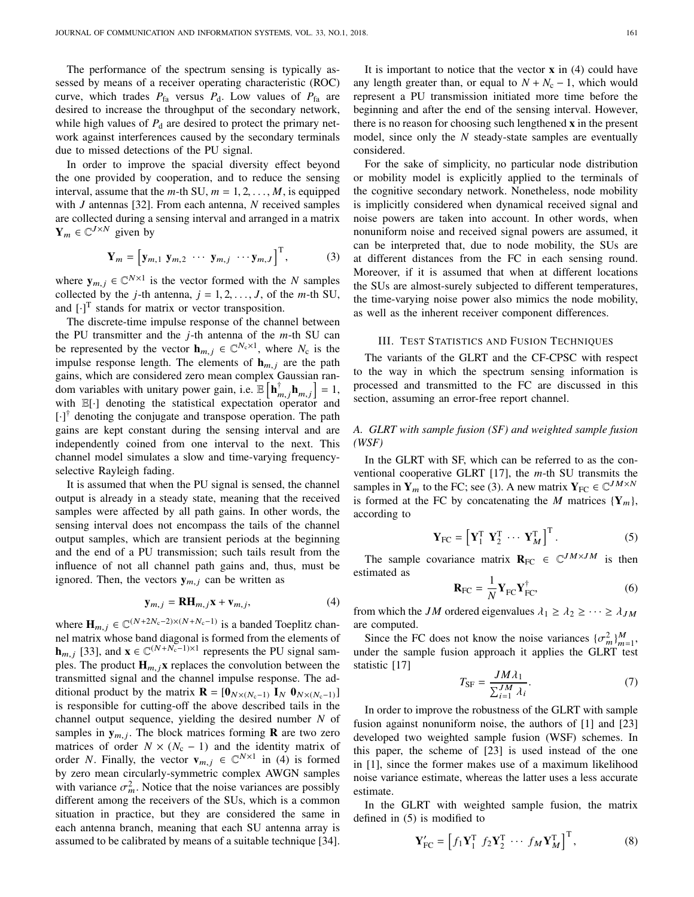The performance of the spectrum sensing is typically assessed by means of a receiver operating characteristic (ROC) curve, which trades  $P_{fa}$  versus  $P_d$ . Low values of  $P_{fa}$  are desired to increase the throughput of the secondary network, while high values of  $P_d$  are desired to protect the primary network against interferences caused by the secondary terminals due to missed detections of the PU signal.

In order to improve the spacial diversity effect beyond the one provided by cooperation, and to reduce the sensing interval, assume that the *m*-th SU,  $m = 1, 2, ..., M$ , is equipped with *J* antennas [\[32\]](#page-12-14). From each antenna, *N* received samples are collected during a sensing interval and arranged in a matrix  $\mathbf{Y}_m \in \mathbb{C}^{J \times N}$  given by

<span id="page-3-2"></span>
$$
\mathbf{Y}_m = \begin{bmatrix} \mathbf{y}_{m,1} & \mathbf{y}_{m,2} & \cdots & \mathbf{y}_{m,j} & \cdots & \mathbf{y}_{m,J} \end{bmatrix}^\mathrm{T},\tag{3}
$$

where  $\mathbf{y}_{m,j} \in \mathbb{C}^{N \times 1}$  is the vector formed with the *N* samples collected by the *i* th entange  $i = 1, 2, \ldots, I$  of the *m* th SU collected by the *j*-th antenna,  $j = 1, 2, \ldots, J$ , of the *m*-th SU, and  $[\cdot]$ <sup>T</sup> stands for matrix or vector transposition.

The discrete-time impulse response of the channel between the PU transmitter and the *j*-th antenna of the *m*-th SU can be represented by the vector  $\mathbf{h}_{m,j} \in \mathbb{C}^{N_c \times 1}$ , where  $N_c$  is the impulse represented length. The elements of **h**ence the neth impulse response length. The elements of  $\mathbf{h}_{m,i}$  are the path gains, which are considered zero mean complex Gaussian ran-f g dom variables with unitary power gain, i.e.  $\mathbb{E} \left[ \mathbf{h}_{m,j}^{\dagger}, \mathbf{h}_{m,j} \right] = 1$ , with  $\mathbb{E}[\cdot]$  denoting the statistical expectation operator and with  $\mathbb{E}[\cdot]$  denoting the statistical expectation operator and [·]<sup>†</sup> denoting the conjugate and transpose operation. The path gains are kept constant during the sensing interval and are independently coined from one interval to the next. This channel model simulates a slow and time-varying frequencyselective Rayleigh fading.

It is assumed that when the PU signal is sensed, the channel output is already in a steady state, meaning that the received samples were affected by all path gains. In other words, the sensing interval does not encompass the tails of the channel output samples, which are transient periods at the beginning and the end of a PU transmission; such tails result from the influence of not all channel path gains and, thus, must be ignored. Then, the vectors  $y_{m,i}$  can be written as

$$
\mathbf{y}_{m,j} = \mathbf{R}\mathbf{H}_{m,j}\mathbf{x} + \mathbf{v}_{m,j},\tag{4}
$$

where  $\mathbf{H}_{m,j} \in \mathbb{C}^{(N+2N_c-2)\times(N+N_c-1)}$  is a banded Toeplitz chan-<br>nel metrix whose band diagonal is formed from the elements of nel matrix whose band diagonal is formed from the elements of  **[\[33\]](#page-12-15), and**  $**x** \in \mathbb{C}^{(N+N_c-1)\times 1}$  **represents the PU signal sam**ples. The product  $\mathbf{H}_{m,j}\mathbf{x}$  replaces the convolution between the transmitted signal and the channel impulse response. The additional product by the matrix  $\mathbf{R} = [\mathbf{0}_{N\times(N_c-1)} \mathbf{I}_N \mathbf{0}_{N\times(N_c-1)}]$ is responsible for cutting-off the above described tails in the channel output sequence, yielding the desired number *N* of samples in  $y_{m,j}$ . The block matrices forming **R** are two zero<br>matrices of order  $N \times (N-1)$  and the identity matrix of matrices of order  $N \times (N_c - 1)$  and the identity matrix of order *N*. Finally, the vector  $\mathbf{v}_{m,j} \in \mathbb{C}^{N \times 1}$  in [\(4\)](#page-3-1) is formed<br>by zero mean circularly cummatric complex AWGN semples by zero mean circularly-symmetric complex AWGN samples with variance  $\sigma_m^2$ . Notice that the noise variances are possibly different among the receivers of the SUs which is a common different among the receivers of the SUs, which is a common situation in practice, but they are considered the same in each antenna branch, meaning that each SU antenna array is assumed to be calibrated by means of a suitable technique [\[34\]](#page-12-16).

It is important to notice that the vector **x** in [\(4\)](#page-3-1) could have any length greater than, or equal to  $N + N_c - 1$ , which would represent a PU transmission initiated more time before the beginning and after the end of the sensing interval. However, there is no reason for choosing such lengthened **x** in the present model, since only the *N* steady-state samples are eventually considered.

For the sake of simplicity, no particular node distribution or mobility model is explicitly applied to the terminals of the cognitive secondary network. Nonetheless, node mobility is implicitly considered when dynamical received signal and noise powers are taken into account. In other words, when nonuniform noise and received signal powers are assumed, it can be interpreted that, due to node mobility, the SUs are at different distances from the FC in each sensing round. Moreover, if it is assumed that when at different locations the SUs are almost-surely subjected to different temperatures, the time-varying noise power also mimics the node mobility, as well as the inherent receiver component differences.

## III. TEST STATISTICS AND FUSION TECHNIQUES

<span id="page-3-0"></span>The variants of the GLRT and the CF-CPSC with respect to the way in which the spectrum sensing information is processed and transmitted to the FC are discussed in this section, assuming an error-free report channel.

# *A. GLRT with sample fusion (SF) and weighted sample fusion (WSF)*

In the GLRT with SF, which can be referred to as the conventional cooperative GLRT [\[17\]](#page-12-1), the *m*-th SU transmits the samples in  $Y_m$  to the FC; see [\(3\)](#page-3-2). A new matrix  $Y_{FC} \in \mathbb{C}^{JM \times N}$ is formed at the FC by concatenating the *M* matrices  ${Y_m}$ , according to

<span id="page-3-3"></span>
$$
\mathbf{Y}_{\text{FC}} = \left[ \mathbf{Y}_1^{\text{T}} \ \mathbf{Y}_2^{\text{T}} \ \cdots \ \mathbf{Y}_M^{\text{T}} \right]^{\text{T}} . \tag{5}
$$

<span id="page-3-1"></span>The sample covariance matrix  $\mathbf{R}_{FC} \in \mathbb{C}^{JM \times JM}$  is then estimated as

$$
\mathbf{R}_{\text{FC}} = \frac{1}{N} \mathbf{Y}_{\text{FC}} \mathbf{Y}_{\text{FC}}^{\dagger}, \tag{6}
$$

from which the *JM* ordered eigenvalues  $\lambda_1 \geq \lambda_2 \geq \cdots \geq \lambda_{JM}$ are computed.

Since the FC does not know the noise variances  $\{\sigma_m^2\}_{m=1}^M$ ,<br>der the sample fusion approach it applies the GLBT test under the sample fusion approach it applies the GLRT test statistic [\[17\]](#page-12-1)

<span id="page-3-4"></span>
$$
T_{\rm SF} = \frac{J M \lambda_1}{\sum_{i=1}^{J M} \lambda_i}.
$$
 (7)

In order to improve the robustness of the GLRT with sample fusion against nonuniform noise, the authors of [\[1\]](#page-11-1) and [\[23\]](#page-12-5) developed two weighted sample fusion (WSF) schemes. In this paper, the scheme of [\[23\]](#page-12-5) is used instead of the one in [\[1\]](#page-11-1), since the former makes use of a maximum likelihood noise variance estimate, whereas the latter uses a less accurate estimate.

In the GLRT with weighted sample fusion, the matrix defined in [\(5\)](#page-3-3) is modified to

$$
\mathbf{Y}_{\text{FC}}' = \left[ f_1 \mathbf{Y}_1^{\text{T}} \ f_2 \mathbf{Y}_2^{\text{T}} \ \cdots \ f_M \mathbf{Y}_M^{\text{T}} \right]^{\text{T}},\tag{8}
$$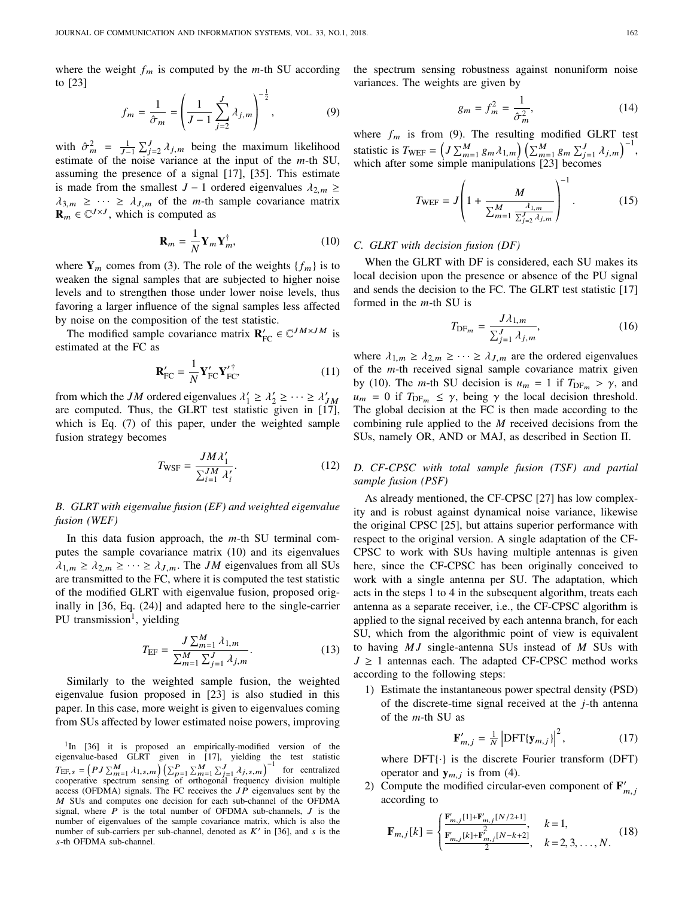where the weight  $f_m$  is computed by the *m*-th SU according to [\[23\]](#page-12-5)

<span id="page-4-2"></span>
$$
f_m = \frac{1}{\hat{\sigma}_m} = \left(\frac{1}{J-1} \sum_{j=2}^{J} \lambda_{j,m}\right)^{-\frac{1}{2}},
$$
 (9)

with  $\hat{\sigma}_m^2 = \frac{1}{J-1} \sum_{j=2}^{J} \lambda_{j,m}$  being the maximum likelihood estimate of the noise variance at the input of the m-th SII estimate of the noise variance at the input of the *m*-th SU, assuming the presence of a signal [\[17\]](#page-12-1), [\[35\]](#page-12-17). This estimate is made from the smallest *J* − 1 ordered eigenvalues  $\lambda_{2,m}$  ≥  $\lambda_{3,m} \geq \cdots \geq \lambda_{J,m}$  of the *m*-th sample covariance matrix  $\mathbf{R}_m \in \mathbb{C}^{J \times J}$ , which is computed as

<span id="page-4-0"></span>
$$
\mathbf{R}_m = \frac{1}{N} \mathbf{Y}_m \mathbf{Y}_m^{\dagger},\tag{10}
$$

where  $Y_m$  comes from [\(3\)](#page-3-2). The role of the weights  $\{f_m\}$  is to weaken the signal samples that are subjected to higher noise levels and to strengthen those under lower noise levels, thus favoring a larger influence of the signal samples less affected by noise on the composition of the test statistic.

The modified sample covariance matrix  $\mathbf{R}'_{\text{FC}} \in \mathbb{C}^{JM \times JM}$  is estimated at the FC as

$$
\mathbf{R}'_{\rm FC} = \frac{1}{N} \mathbf{Y}'_{\rm FC} \mathbf{Y}'_{\rm FC}^\dagger, \tag{11}
$$

from which the *JM* ordered eigenvalues  $\lambda'_1 \geq \lambda'_2 \geq \cdots \geq \lambda'_j$  *M* are computed. Thus, the *GI* RT test statistic given in [17] are computed. Thus, the GLRT test statistic given in [\[17\]](#page-12-1), which is Eq. [\(7\)](#page-3-4) of this paper, under the weighted sample fusion strategy becomes

<span id="page-4-4"></span>
$$
T_{\text{WSF}} = \frac{J M \lambda_1'}{\sum_{i=1}^{J M} \lambda_i'}.
$$
 (12)

# *B. GLRT with eigenvalue fusion (EF) and weighted eigenvalue fusion (WEF)*

In this data fusion approach, the *m*-th SU terminal computes the sample covariance matrix [\(10\)](#page-4-0) and its eigenvalues  $\lambda_{1,m} \geq \lambda_{2,m} \geq \cdots \geq \lambda_{J,m}$ . The *JM* eigenvalues from all SUs are transmitted to the FC, where it is computed the test statistic of the modified GLRT with eigenvalue fusion, proposed originally in [\[36,](#page-12-18) Eq. (24)] and adapted here to the single-carrier PU transmission<sup>[1](#page-4-1)</sup>, yielding

<span id="page-4-5"></span>
$$
T_{\rm EF} = \frac{J \sum_{m=1}^{M} \lambda_{1,m}}{\sum_{m=1}^{M} \sum_{j=1}^{J} \lambda_{j,m}}.
$$
 (13)

Similarly to the weighted sample fusion, the weighted eigenvalue fusion proposed in [\[23\]](#page-12-5) is also studied in this paper. In this case, more weight is given to eigenvalues coming from SUs affected by lower estimated noise powers, improving

<span id="page-4-1"></span><sup>1</sup>In [\[36\]](#page-12-18) it is proposed an empirically-modified version of the eigenvalue-based GLRT given in [\[17\]](#page-12-1), yielding the test statistic  $T_{\text{EF},s} = (P J \sum_{m=1}^{M} \lambda_{1,s,m}) \left( \sum_{p=1}^{P} \sum_{m=1}^{M} \sum_{j=1}^{J} \lambda_{j,s,m} \right)^{-1}$  for centralized cooperative spectrum sensing of orthogonal frequency division multiple access (OFDMA) signals. The FC receives the  $JP$  eigenvalues sent by the M SUs and computes one decision for each sub-channel of the OFDMA signal, where  $P$  is the total number of OFDMA sub-channels,  $J$  is the number of eigenvalues of the sample covariance matrix, which is also the number of sub-carriers per sub-channel, denoted as  $K'$  in [\[36\]](#page-12-18), and s is the s-th OFDMA sub-channel.

the spectrum sensing robustness against nonuniform noise variances. The weights are given by

<span id="page-4-3"></span>
$$
g_m = f_m^2 = \frac{1}{\hat{\sigma}_m^2},\tag{14}
$$

where  $f_m$  is from [\(9\)](#page-4-2). The resulting modified GLRT test statistic is  $T_{\text{WEF}} = \left(J \sum_{m=1}^{M} g_m \lambda_{1,m}\right) \left(\sum_{m=1}^{M} g_m \sum_{j=1}^{J} \lambda_{j,m}\right)$  $\big)^{-1},$ which after some simple manipulations [\[23\]](#page-12-5) becomes

$$
T_{\text{WEF}} = J \left( 1 + \frac{M}{\sum_{m=1}^{M} \frac{\lambda_{1,m}}{\sum_{j=2}^{J} \lambda_{j,m}} } \right)^{-1} .
$$
 (15)

## *C. GLRT with decision fusion (DF)*

When the GLRT with DF is considered, each SU makes its local decision upon the presence or absence of the PU signal and sends the decision to the FC. The GLRT test statistic [\[17\]](#page-12-1) formed in the *m*-th SU is

<span id="page-4-6"></span>
$$
T_{\text{DF}_m} = \frac{J\lambda_{1,m}}{\sum_{j=1}^J \lambda_{j,m}},\tag{16}
$$

where  $\lambda_{1,m} \geq \lambda_{2,m} \geq \cdots \geq \lambda_{J,m}$  are the ordered eigenvalues<br>of the m-th received signal sample covariance matrix given of the *m*-th received signal sample covariance matrix given by [\(10\)](#page-4-0). The *m*-th SU decision is  $u_m = 1$  if  $T_{\text{DF}_m} > \gamma$ , and  $u_m = 0$  if  $T_{\text{DF}_m} \leq \gamma$ , being  $\gamma$  the local decision threshold. The global decision at the FC is then made according to the combining rule applied to the *M* received decisions from the SUs, namely OR, AND or MAJ, as described in Section [II.](#page-2-0)

# *D. CF-CPSC with total sample fusion (TSF) and partial sample fusion (PSF)*

As already mentioned, the CF-CPSC [\[27\]](#page-12-9) has low complexity and is robust against dynamical noise variance, likewise the original CPSC [\[25\]](#page-12-7), but attains superior performance with respect to the original version. A single adaptation of the CF-CPSC to work with SUs having multiple antennas is given here, since the CF-CPSC has been originally conceived to work with a single antenna per SU. The adaptation, which acts in the steps 1 to 4 in the subsequent algorithm, treats each antenna as a separate receiver, i.e., the CF-CPSC algorithm is applied to the signal received by each antenna branch, for each SU, which from the algorithmic point of view is equivalent to having *MJ* single-antenna SUs instead of *M* SUs with  $J \geq 1$  antennas each. The adapted CF-CPSC method works according to the following steps:

1) Estimate the instantaneous power spectral density (PSD) of the discrete-time signal received at the *j*-th antenna of the *m*-th SU as

$$
\mathbf{F}'_{m,j} = \frac{1}{N} \left| \text{DFT}(\mathbf{y}_{m,j}) \right|^2, \tag{17}
$$

where  $DFT\{\cdot\}$  is the discrete Fourier transform (DFT) operator and  $y_{m,j}$  is from [\(4\)](#page-3-1).<br>Compute the modified circulation

2) Compute the modified circular-even component of  $\mathbf{F}'_{m,j}$ <br>according to according to

$$
\mathbf{F}_{m,j}[k] = \begin{cases} \frac{\mathbf{F}'_{m,j}[1] + \mathbf{F}'_{m,j}[N/2+1]}{2}, & k = 1, \\ \frac{\mathbf{F}'_{m,j}[k] + \mathbf{F}^2_{m,j}[N-k+2]}{2}, & k = 2, 3, ..., N. \end{cases}
$$
(18)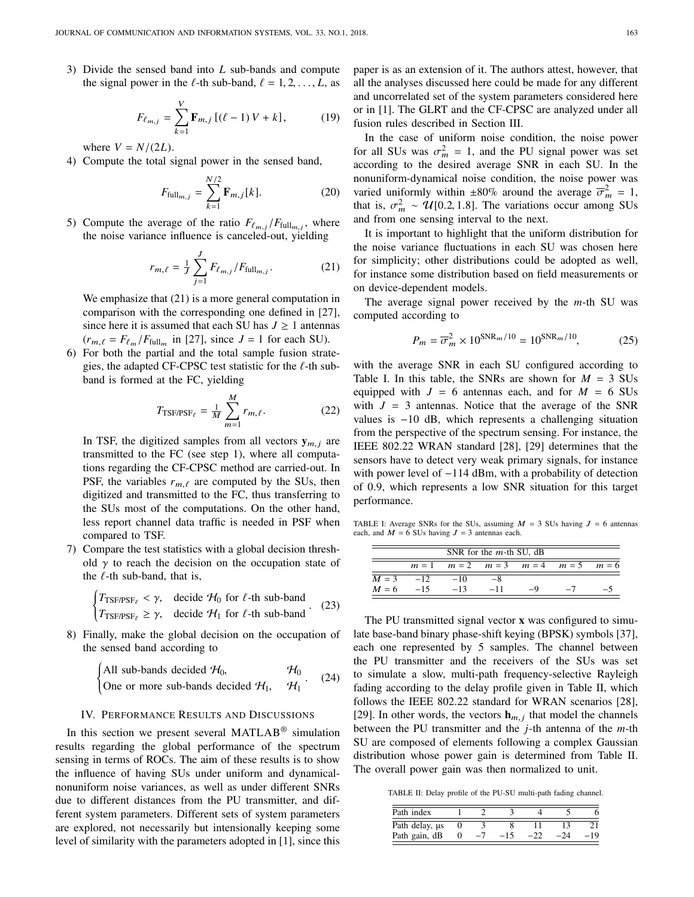3) Divide the sensed band into *L* sub-bands and compute the signal power in the  $\ell$ -th sub-band,  $\ell = 1, 2, \ldots, L$ , as

$$
F_{\ell_{m,j}} = \sum_{k=1}^{V} \mathbf{F}_{m,j} \left[ (\ell - 1) V + k \right],\tag{19}
$$

where  $V = N/(2L)$ .

4) Compute the total signal power in the sensed band,

$$
F_{\text{full}_{m,j}} = \sum_{k=1}^{N/2} \mathbf{F}_{m,j}[k].
$$
 (20)

5) Compute the average of the ratio  $F_{\ell_{m,j}}/F_{\text{full}_{m,j}}$ , where the noise variance influence is canceled-out vielding the noise variance influence is canceled-out, yielding

$$
r_{m,\ell} = \frac{1}{J} \sum_{j=1}^{J} F_{\ell_{m,j}} / F_{\text{full}_{m,j}}.
$$
 (21)

We emphasize that  $(21)$  is a more general computation in comparison with the corresponding one defined in [\[27\]](#page-12-9), since here it is assumed that each SU has  $J \geq 1$  antennas  $(r_{m,\ell} = F_{\ell_m}/F_{\text{full}_m}$  in [\[27\]](#page-12-9), since  $J = 1$  for each SU).

6) For both the partial and the total sample fusion strategies, the adapted CF-CPSC test statistic for the  $\ell$ -th subband is formed at the FC, yielding

<span id="page-5-4"></span>
$$
T_{\text{TSF/PSF}_{\ell}} = \frac{1}{M} \sum_{m=1}^{M} r_{m,\ell}.
$$
 (22)

In TSF, the digitized samples from all vectors  $y_{m,i}$  are transmitted to the FC (see step 1), where all computations regarding the CF-CPSC method are carried-out. In PSF, the variables  $r_{m,\ell}$  are computed by the SUs, then digitized and transmitted to the FC, thus transferring to the SUs most of the computations. On the other hand, less report channel data traffic is needed in PSF when compared to TSF.

7) Compare the test statistics with a global decision threshold  $\gamma$  to reach the decision on the occupation state of the  $\ell$ -th sub-band, that is,

$$
\begin{cases}\nT_{\text{TSF/PSF}_{\ell}} < \gamma, \quad \text{decide } \mathcal{H}_0 \text{ for } \ell\text{-th sub-band} \\
T_{\text{TSF/PSF}_{\ell}} \geq \gamma, \quad \text{decide } \mathcal{H}_1 \text{ for } \ell\text{-th sub-band}\n\end{cases}.\n\tag{23}
$$

8) Finally, make the global decision on the occupation of the sensed band according to

All sub-bands decided 
$$
\mathcal{H}_0
$$
,  $\mathcal{H}_0$  (24)  
One or more sub-bands decided  $\mathcal{H}_1$ ,  $\mathcal{H}_1$ .

## IV. PERFORMANCE RESULTS AND DISCUSSIONS

<span id="page-5-0"></span>In this section we present several MATLAB® simulation results regarding the global performance of the spectrum sensing in terms of ROCs. The aim of these results is to show the influence of having SUs under uniform and dynamicalnonuniform noise variances, as well as under different SNRs due to different distances from the PU transmitter, and different system parameters. Different sets of system parameters are explored, not necessarily but intensionally keeping some level of similarity with the parameters adopted in [\[1\]](#page-11-1), since this paper is as an extension of it. The authors attest, however, that all the analyses discussed here could be made for any different and uncorrelated set of the system parameters considered here or in [\[1\]](#page-11-1). The GLRT and the CF-CPSC are analyzed under all fusion rules described in Section [III.](#page-3-0)

In the case of uniform noise condition, the noise power for all SUs was  $\sigma_m^2 = 1$ , and the PU signal power was set according to the desired average SNR in each SU. In the according to the desired average SNR in each SU. In the nonuniform-dynamical noise condition, the noise power was varied uniformly within  $\pm 80\%$  around the average  $\overline{\sigma}_{m}^{2} = 1$ ,<br>that is  $\sigma_{m}^{2} \approx 9410.2 \pm 81$ . The variations occur among SUs that is,  $\sigma_m^2 \sim \mathcal{U}[0.2, 1.8]$ . The variations occur among SUs and from one sensing interval to the next and from one sensing interval to the next.

<span id="page-5-1"></span>It is important to highlight that the uniform distribution for the noise variance fluctuations in each SU was chosen here for simplicity; other distributions could be adopted as well, for instance some distribution based on field measurements or on device-dependent models.

The average signal power received by the *m*-th SU was computed according to

$$
P_m = \overline{\sigma}_m^2 \times 10^{SNR_m/10} = 10^{SNR_m/10},\tag{25}
$$

with the average SNR in each SU configured according to Table [I.](#page-5-2) In this table, the SNRs are shown for  $M = 3$  SUs equipped with  $J = 6$  antennas each, and for  $M = 6$  SUs with  $J = 3$  antennas. Notice that the average of the SNR values is −10 dB, which represents a challenging situation from the perspective of the spectrum sensing. For instance, the IEEE 802.22 WRAN standard [\[28\]](#page-12-10), [\[29\]](#page-12-11) determines that the sensors have to detect very weak primary signals, for instance with power level of −114 dBm, with a probability of detection of <sup>0</sup>.9, which represents a low SNR situation for this target performance.

<span id="page-5-2"></span>TABLE I: Average SNRs for the SUs, assuming  $M = 3$  SUs having  $J = 6$  antennas each, and  $M = 6$  SUs having  $J = 3$  antennas each.

| $m = 1$ $m = 2$ $m = 3$ $m = 4$ $m = 5$ $m = 6$<br>$M = 3$<br>$-10$<br>$M = 6$<br>$-15$<br>$-13$ | SNR for the $m$ -th SU, dB |  |  |  |  |  |  |
|--------------------------------------------------------------------------------------------------|----------------------------|--|--|--|--|--|--|
|                                                                                                  |                            |  |  |  |  |  |  |
|                                                                                                  |                            |  |  |  |  |  |  |
|                                                                                                  |                            |  |  |  |  |  |  |

The PU transmitted signal vector **x** was configured to simulate base-band binary phase-shift keying (BPSK) symbols [\[37\]](#page-12-19), each one represented by 5 samples. The channel between the PU transmitter and the receivers of the SUs was set to simulate a slow, multi-path frequency-selective Rayleigh fading according to the delay profile given in Table [II,](#page-5-3) which follows the IEEE 802.22 standard for WRAN scenarios [\[28\]](#page-12-10), [\[29\]](#page-12-11). In other words, the vectors  $\mathbf{h}_{m,j}$  that model the channels<br>between the PU transmitter and the *i*-th entenne of the *m*-th between the PU transmitter and the *j*-th antenna of the *m*-th SU are composed of elements following a complex Gaussian distribution whose power gain is determined from Table [II.](#page-5-3) The overall power gain was then normalized to unit.

<span id="page-5-3"></span>TABLE II: Delay profile of the PU-SU multi-path fading channel.

| Path index          |  |  |  |
|---------------------|--|--|--|
| Path delay, $\mu s$ |  |  |  |
| Path gain, dB       |  |  |  |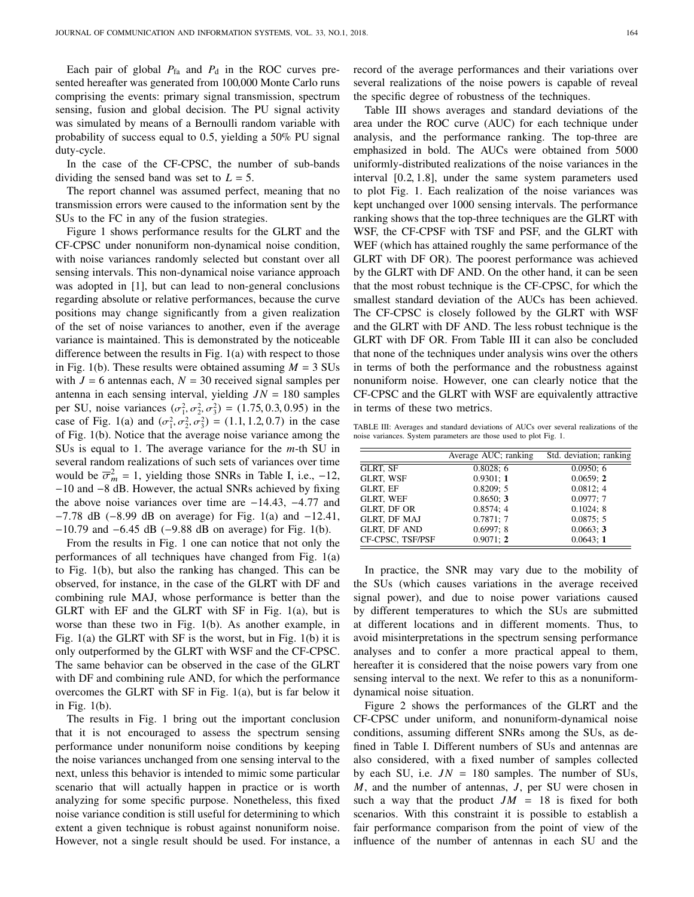Each pair of global  $P_{fa}$  and  $P_d$  in the ROC curves presented hereafter was generated from <sup>100</sup>,<sup>000</sup> Monte Carlo runs comprising the events: primary signal transmission, spectrum sensing, fusion and global decision. The PU signal activity was simulated by means of a Bernoulli random variable with probability of success equal to <sup>0</sup>.5, yielding a 50% PU signal duty-cycle.

In the case of the CF-CPSC, the number of sub-bands dividing the sensed band was set to  $L = 5$ .

The report channel was assumed perfect, meaning that no transmission errors were caused to the information sent by the SUs to the FC in any of the fusion strategies.

Figure [1](#page-7-0) shows performance results for the GLRT and the CF-CPSC under nonuniform non-dynamical noise condition, with noise variances randomly selected but constant over all sensing intervals. This non-dynamical noise variance approach was adopted in [\[1\]](#page-11-1), but can lead to non-general conclusions regarding absolute or relative performances, because the curve positions may change significantly from a given realization of the set of noise variances to another, even if the average variance is maintained. This is demonstrated by the noticeable difference between the results in Fig. [1\(](#page-7-0)a) with respect to those in Fig. [1\(](#page-7-0)b). These results were obtained assuming  $M = 3$  SUs with  $J = 6$  antennas each,  $N = 30$  received signal samples per antenna in each sensing interval, yielding  $JN = 180$  samples per SU, noise variances  $(\sigma_1^2, \sigma_2^2, \sigma_3^2) = (1.75, 0.3, 0.95)$  in the case of Fig. 1(a) and  $(\sigma_1^2, \sigma_2^2, \sigma_3^2) = (1.1, 1.2, 0.7)$  in the case case of Fig. [1\(](#page-7-0)a) and  $(\sigma_1^2, \sigma_2^2, \sigma_3^2) = (1.1, 1.2, 0.7)$  in the case<br>of Fig. 1(b). Notice that the average noise variance among the of Fig. [1\(](#page-7-0)b). Notice that the average noise variance among the SUs is equal to 1. The average variance for the *m*-th SU in several random realizations of such sets of variances over time would be  $\overline{\sigma}_m^2 = 1$ , yielding those SNRs in Table [I,](#page-5-2) i.e., -12,<br>-10 and -8 dB. However, the actual SNRs achieved by fixing −10 and −8 dB. However, the actual SNRs achieved by fixing the above noise variances over time are <sup>−</sup>14.43, <sup>−</sup>4.<sup>77</sup> and <sup>−</sup>7.<sup>78</sup> dB (−8.<sup>99</sup> dB on average) for Fig. [1\(](#page-7-0)a) and <sup>−</sup>12.41, <sup>−</sup>10.<sup>79</sup> and <sup>−</sup>6.<sup>45</sup> dB (−9.<sup>88</sup> dB on average) for Fig. [1\(](#page-7-0)b).

From the results in Fig. [1](#page-7-0) one can notice that not only the performances of all techniques have changed from Fig. [1\(](#page-7-0)a) to Fig. [1\(](#page-7-0)b), but also the ranking has changed. This can be observed, for instance, in the case of the GLRT with DF and combining rule MAJ, whose performance is better than the GLRT with EF and the GLRT with SF in Fig. [1\(](#page-7-0)a), but is worse than these two in Fig. [1\(](#page-7-0)b). As another example, in Fig. [1\(](#page-7-0)a) the GLRT with SF is the worst, but in Fig. [1\(](#page-7-0)b) it is only outperformed by the GLRT with WSF and the CF-CPSC. The same behavior can be observed in the case of the GLRT with DF and combining rule AND, for which the performance overcomes the GLRT with SF in Fig. [1\(](#page-7-0)a), but is far below it in Fig. [1\(](#page-7-0)b).

The results in Fig. [1](#page-7-0) bring out the important conclusion that it is not encouraged to assess the spectrum sensing performance under nonuniform noise conditions by keeping the noise variances unchanged from one sensing interval to the next, unless this behavior is intended to mimic some particular scenario that will actually happen in practice or is worth analyzing for some specific purpose. Nonetheless, this fixed noise variance condition is still useful for determining to which extent a given technique is robust against nonuniform noise. However, not a single result should be used. For instance, a record of the average performances and their variations over several realizations of the noise powers is capable of reveal the specific degree of robustness of the techniques.

Table [III](#page-6-0) shows averages and standard deviations of the area under the ROC curve (AUC) for each technique under analysis, and the performance ranking. The top-three are emphasized in bold. The AUCs were obtained from 5000 uniformly-distributed realizations of the noise variances in the interval [0.2, <sup>1</sup>.8], under the same system parameters used to plot Fig. [1.](#page-7-0) Each realization of the noise variances was kept unchanged over 1000 sensing intervals. The performance ranking shows that the top-three techniques are the GLRT with WSF, the CF-CPSF with TSF and PSF, and the GLRT with WEF (which has attained roughly the same performance of the GLRT with DF OR). The poorest performance was achieved by the GLRT with DF AND. On the other hand, it can be seen that the most robust technique is the CF-CPSC, for which the smallest standard deviation of the AUCs has been achieved. The CF-CPSC is closely followed by the GLRT with WSF and the GLRT with DF AND. The less robust technique is the GLRT with DF OR. From Table [III](#page-6-0) it can also be concluded that none of the techniques under analysis wins over the others in terms of both the performance and the robustness against nonuniform noise. However, one can clearly notice that the CF-CPSC and the GLRT with WSF are equivalently attractive in terms of these two metrics.

<span id="page-6-0"></span>TABLE III: Averages and standard deviations of AUCs over several realizations of the noise variances. System parameters are those used to plot Fig. [1.](#page-7-0)

|                     | Average AUC; ranking | Std. deviation; ranking |
|---------------------|----------------------|-------------------------|
| GLRT, SF            | 0.8028; 6            | 0.0950:6                |
| <b>GLRT, WSF</b>    | 0.9301; 1            | 0.0659; 2               |
| GLRT, EF            | 0.8209; 5            | 0.0812; 4               |
| <b>GLRT, WEF</b>    | 0.8650; 3            | 0.0977:7                |
| GLRT, DF OR         | 0.8574; 4            | 0.1024; 8               |
| <b>GLRT, DF MAJ</b> | 0.7871; 7            | 0.0875: 5               |
| <b>GLRT, DF AND</b> | 0.6997; 8            | 0.0663; 3               |
| CF-CPSC, TSF/PSF    | 0.9071; 2            | 0.0643:1                |

In practice, the SNR may vary due to the mobility of the SUs (which causes variations in the average received signal power), and due to noise power variations caused by different temperatures to which the SUs are submitted at different locations and in different moments. Thus, to avoid misinterpretations in the spectrum sensing performance analyses and to confer a more practical appeal to them, hereafter it is considered that the noise powers vary from one sensing interval to the next. We refer to this as a nonuniformdynamical noise situation.

Figure [2](#page-8-0) shows the performances of the GLRT and the CF-CPSC under uniform, and nonuniform-dynamical noise conditions, assuming different SNRs among the SUs, as defined in Table [I.](#page-5-2) Different numbers of SUs and antennas are also considered, with a fixed number of samples collected by each SU, i.e.  $JN = 180$  samples. The number of SUs, *M*, and the number of antennas, *J*, per SU were chosen in such a way that the product  $JM = 18$  is fixed for both scenarios. With this constraint it is possible to establish a fair performance comparison from the point of view of the influence of the number of antennas in each SU and the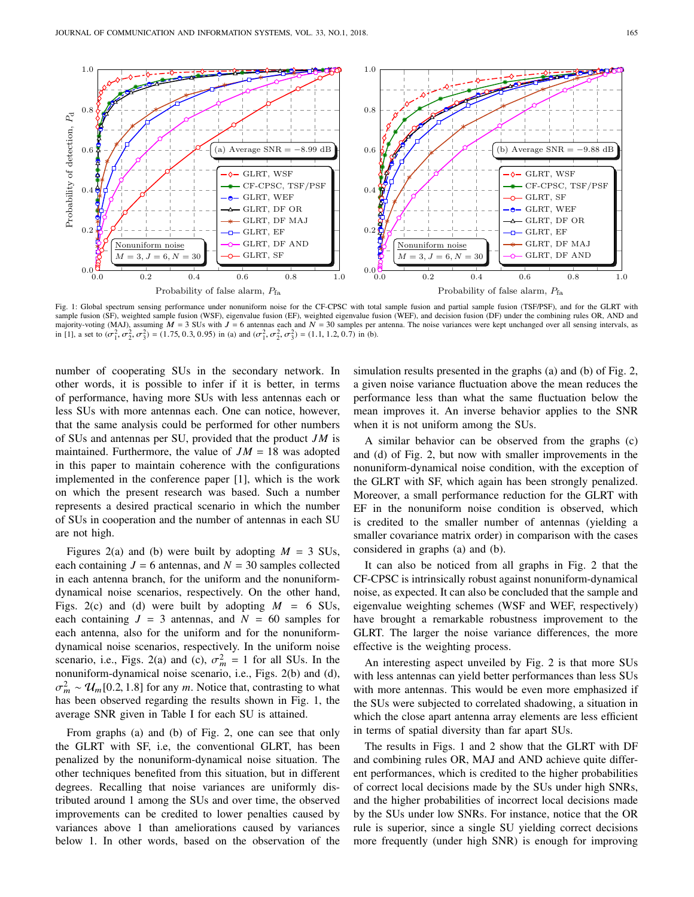<span id="page-7-0"></span>

Fig. 1: Global spectrum sensing performance under nonuniform noise for the CF-CPSC with total sample fusion and partial sample fusion (TSF/PSF), and for the GLRT with sample fusion (SF), weighted sample fusion (WSF), eigenvalue fusion (EF), weighted eigenvalue fusion (WEF), and decision fusion (DF) under the combining rules OR, AND and majority-voting (MAJ), assuming  $M = 3$  SUs with  $J = 6$  antennas each and  $N = 30$  samples per antenna. The noise variances were kept unchanged over all sensing intervals, as in [\[1\]](#page-11-1), a set to  $(\sigma_1^2, \sigma_2^2, \sigma_3^2) = (1.75, 0.3, 0.95)$  in (a) and  $(\sigma_1^2, \sigma_2^2, \sigma_3^2) = (1.1, 1.2, 0.7)$  in (b).

number of cooperating SUs in the secondary network. In other words, it is possible to infer if it is better, in terms of performance, having more SUs with less antennas each or less SUs with more antennas each. One can notice, however, that the same analysis could be performed for other numbers of SUs and antennas per SU, provided that the product *JM* is maintained. Furthermore, the value of  $JM = 18$  was adopted in this paper to maintain coherence with the configurations implemented in the conference paper [\[1\]](#page-11-1), which is the work on which the present research was based. Such a number represents a desired practical scenario in which the number of SUs in cooperation and the number of antennas in each SU are not high.

Figures [2\(](#page-8-0)a) and (b) were built by adopting  $M = 3$  SUs, each containing  $J = 6$  antennas, and  $N = 30$  samples collected in each antenna branch, for the uniform and the nonuniformdynamical noise scenarios, respectively. On the other hand, Figs. [2\(](#page-8-0)c) and (d) were built by adopting  $M = 6$  SUs, each containing  $J = 3$  antennas, and  $N = 60$  samples for each antenna, also for the uniform and for the nonuniformdynamical noise scenarios, respectively. In the uniform noise scenario, i.e., Figs. [2\(](#page-8-0)a) and (c),  $\sigma_m^2 = 1$  for all SUs. In the nonuniform-dynamical noise scenario, i.e. Figs. 2(b) and (d) nonuniform-dynamical noise scenario, i.e., Figs. [2\(](#page-8-0)b) and (d),  $\epsilon_m$   $\epsilon_{m}$   $\epsilon_{m}$ ,  $\epsilon_{m}$  and  $\epsilon_{m}$  are any measured many extrameling to what  $\frac{2}{m} \sim \mathcal{U}_m[0.2, 1.8]$  for any *m*. Notice that, contrasting to what  $\frac{2}{3}$  been observed regarding the results shown in Fig. 1, the average SNR given in Table [I](#page-5-2) for each SU is attained.

From graphs (a) and (b) of Fig. [2,](#page-8-0) one can see that only the GLRT with SF, i.e, the conventional GLRT, has been penalized by the nonuniform-dynamical noise situation. The other techniques benefited from this situation, but in different degrees. Recalling that noise variances are uniformly distributed around 1 among the SUs and over time, the observed improvements can be credited to lower penalties caused by variances above 1 than ameliorations caused by variances below 1. In other words, based on the observation of the simulation results presented in the graphs (a) and (b) of Fig. [2,](#page-8-0) a given noise variance fluctuation above the mean reduces the performance less than what the same fluctuation below the mean improves it. An inverse behavior applies to the SNR when it is not uniform among the SUs.

A similar behavior can be observed from the graphs (c) and (d) of Fig. [2,](#page-8-0) but now with smaller improvements in the nonuniform-dynamical noise condition, with the exception of the GLRT with SF, which again has been strongly penalized. Moreover, a small performance reduction for the GLRT with EF in the nonuniform noise condition is observed, which is credited to the smaller number of antennas (yielding a smaller covariance matrix order) in comparison with the cases considered in graphs (a) and (b).

It can also be noticed from all graphs in Fig. [2](#page-8-0) that the CF-CPSC is intrinsically robust against nonuniform-dynamical noise, as expected. It can also be concluded that the sample and eigenvalue weighting schemes (WSF and WEF, respectively) have brought a remarkable robustness improvement to the GLRT. The larger the noise variance differences, the more effective is the weighting process.

An interesting aspect unveiled by Fig. [2](#page-8-0) is that more SUs with less antennas can yield better performances than less SUs with more antennas. This would be even more emphasized if the SUs were subjected to correlated shadowing, a situation in which the close apart antenna array elements are less efficient in terms of spatial diversity than far apart SUs.

The results in Figs. [1](#page-7-0) and [2](#page-8-0) show that the GLRT with DF and combining rules OR, MAJ and AND achieve quite different performances, which is credited to the higher probabilities of correct local decisions made by the SUs under high SNRs, and the higher probabilities of incorrect local decisions made by the SUs under low SNRs. For instance, notice that the OR rule is superior, since a single SU yielding correct decisions more frequently (under high SNR) is enough for improving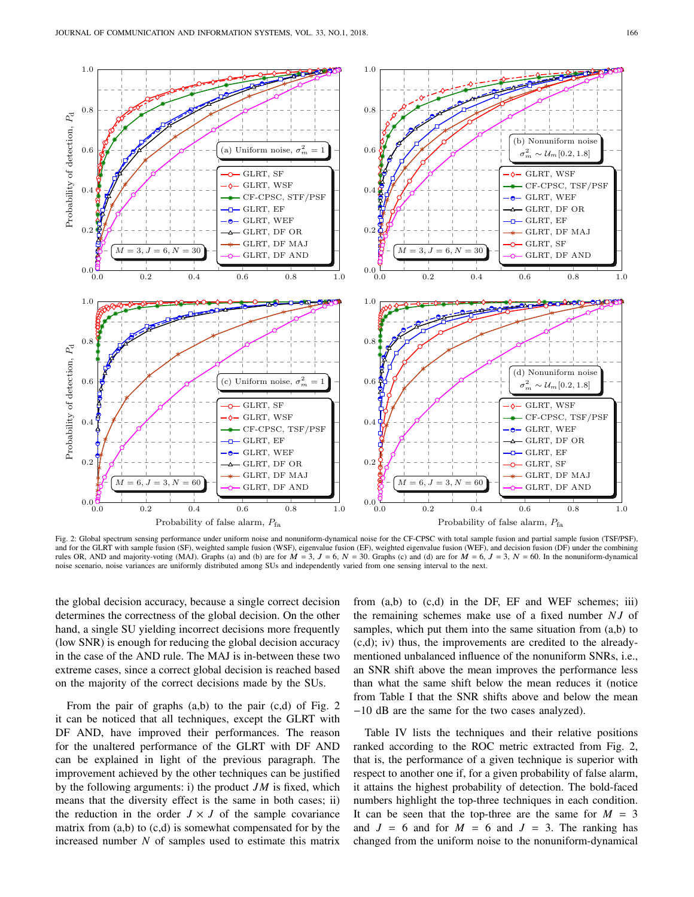<span id="page-8-0"></span>

Fig. 2: Global spectrum sensing performance under uniform noise and nonuniform-dynamical noise for the CF-CPSC with total sample fusion and partial sample fusion (TSF/PSF), and for the GLRT with sample fusion (SF), weighted sample fusion (WSF), eigenvalue fusion (EF), weighted eigenvalue fusion (WEF), and decision fusion (DF) under the combining rules OR, AND and majority-voting (MAJ). Graphs (a) and (b) are for  $M = 3$ ,  $J = 6$ ,  $N = 30$ . Graphs (c) and (d) are for  $M = 6$ ,  $J = 3$ ,  $N = 60$ . In the nonuniform-dynamical noise scenario, noise variances are uniformly distributed among SUs and independently varied from one sensing interval to the next.

the global decision accuracy, because a single correct decision determines the correctness of the global decision. On the other hand, a single SU yielding incorrect decisions more frequently (low SNR) is enough for reducing the global decision accuracy in the case of the AND rule. The MAJ is in-between these two extreme cases, since a correct global decision is reached based on the majority of the correct decisions made by the SUs.

From the pair of graphs (a,b) to the pair (c,d) of Fig. [2](#page-8-0) it can be noticed that all techniques, except the GLRT with DF AND, have improved their performances. The reason for the unaltered performance of the GLRT with DF AND can be explained in light of the previous paragraph. The improvement achieved by the other techniques can be justified by the following arguments: i) the product *JM* is fixed, which means that the diversity effect is the same in both cases; ii) the reduction in the order  $J \times J$  of the sample covariance matrix from  $(a,b)$  to  $(c,d)$  is somewhat compensated for by the increased number *N* of samples used to estimate this matrix

from  $(a,b)$  to  $(c,d)$  in the DF, EF and WEF schemes; iii) the remaining schemes make use of a fixed number NJ of samples, which put them into the same situation from  $(a,b)$  to (c,d); iv) thus, the improvements are credited to the alreadymentioned unbalanced influence of the nonuniform SNRs, i.e., an SNR shift above the mean improves the performance less than what the same shift below the mean reduces it (notice from Table [I](#page-5-2) that the SNR shifts above and below the mean −10 dB are the same for the two cases analyzed).

Table [IV](#page-9-1) lists the techniques and their relative positions ranked according to the ROC metric extracted from Fig. [2,](#page-8-0) that is, the performance of a given technique is superior with respect to another one if, for a given probability of false alarm, it attains the highest probability of detection. The bold-faced numbers highlight the top-three techniques in each condition. It can be seen that the top-three are the same for  $M = 3$ and  $J = 6$  and for  $M = 6$  and  $J = 3$ . The ranking has changed from the uniform noise to the nonuniform-dynamical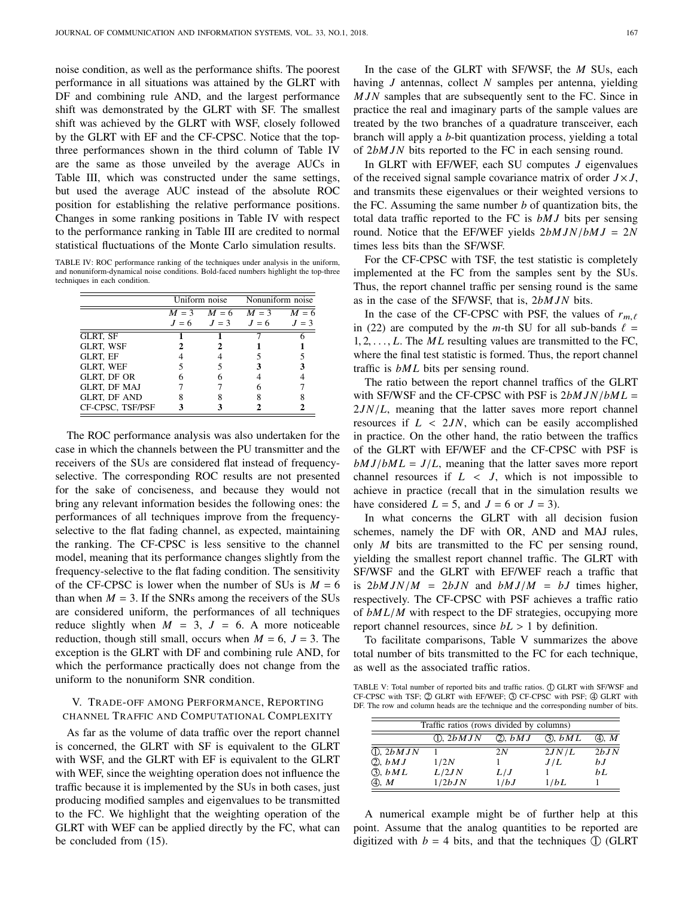noise condition, as well as the performance shifts. The poorest performance in all situations was attained by the GLRT with DF and combining rule AND, and the largest performance shift was demonstrated by the GLRT with SF. The smallest shift was achieved by the GLRT with WSF, closely followed by the GLRT with EF and the CF-CPSC. Notice that the topthree performances shown in the third column of Table [IV](#page-9-1) are the same as those unveiled by the average AUCs in Table [III,](#page-6-0) which was constructed under the same settings, but used the average AUC instead of the absolute ROC position for establishing the relative performance positions. Changes in some ranking positions in Table [IV](#page-9-1) with respect to the performance ranking in Table [III](#page-6-0) are credited to normal statistical fluctuations of the Monte Carlo simulation results.

<span id="page-9-1"></span>TABLE IV: ROC performance ranking of the techniques under analysis in the uniform, and nonuniform-dynamical noise conditions. Bold-faced numbers highlight the top-three techniques in each condition.

|                     | Uniform noise |                   | Nonuniform noise        |         |
|---------------------|---------------|-------------------|-------------------------|---------|
|                     |               |                   | $M = 3$ $M = 6$ $M = 3$ | $M = 6$ |
|                     |               | $J=6$ $J=3$ $J=6$ |                         | $J = 3$ |
| GLRT, SF            |               |                   |                         |         |
| GLRT, WSF           |               |                   |                         |         |
| <b>GLRT, EF</b>     |               |                   |                         |         |
| <b>GLRT, WEF</b>    |               |                   |                         |         |
| GLRT, DF OR         |               |                   |                         |         |
| <b>GLRT, DF MAJ</b> |               |                   |                         |         |
| <b>GLRT, DF AND</b> |               |                   |                         |         |
| CF-CPSC, TSF/PSF    |               |                   |                         |         |

The ROC performance analysis was also undertaken for the case in which the channels between the PU transmitter and the receivers of the SUs are considered flat instead of frequencyselective. The corresponding ROC results are not presented for the sake of conciseness, and because they would not bring any relevant information besides the following ones: the performances of all techniques improve from the frequencyselective to the flat fading channel, as expected, maintaining the ranking. The CF-CPSC is less sensitive to the channel model, meaning that its performance changes slightly from the frequency-selective to the flat fading condition. The sensitivity of the CF-CPSC is lower when the number of SUs is  $M = 6$ than when  $M = 3$ . If the SNRs among the receivers of the SUs are considered uniform, the performances of all techniques reduce slightly when  $M = 3$ ,  $J = 6$ . A more noticeable reduction, though still small, occurs when  $M = 6$ ,  $J = 3$ . The exception is the GLRT with DF and combining rule AND, for which the performance practically does not change from the uniform to the nonuniform SNR condition.

# <span id="page-9-0"></span>V. TRADE-OFF AMONG PERFORMANCE, REPORTING CHANNEL TRAFFIC AND COMPUTATIONAL COMPLEXITY

As far as the volume of data traffic over the report channel is concerned, the GLRT with SF is equivalent to the GLRT with WSF, and the GLRT with EF is equivalent to the GLRT with WEF, since the weighting operation does not influence the traffic because it is implemented by the SUs in both cases, just producing modified samples and eigenvalues to be transmitted to the FC. We highlight that the weighting operation of the GLRT with WEF can be applied directly by the FC, what can be concluded from [\(15\)](#page-4-3).

In the case of the GLRT with SF/WSF, the *M* SUs, each having *J* antennas, collect *N* samples per antenna, yielding *M JN* samples that are subsequently sent to the FC. Since in practice the real and imaginary parts of the sample values are treated by the two branches of a quadrature transceiver, each branch will apply a *b*-bit quantization process, yielding a total of 2*bM JN* bits reported to the FC in each sensing round.

In GLRT with EF/WEF, each SU computes *J* eigenvalues of the received signal sample covariance matrix of order  $J \times J$ , and transmits these eigenvalues or their weighted versions to the FC. Assuming the same number *b* of quantization bits, the total data traffic reported to the FC is *bM J* bits per sensing round. Notice that the EF/WEF yields <sup>2</sup>*bM JN*/*bM J* <sup>=</sup> <sup>2</sup>*<sup>N</sup>* times less bits than the SF/WSF.

For the CF-CPSC with TSF, the test statistic is completely implemented at the FC from the samples sent by the SUs. Thus, the report channel traffic per sensing round is the same as in the case of the SF/WSF, that is, 2*bM JN* bits.

In the case of the CF-CPSC with PSF, the values of  $r_{m,\ell}$ in [\(22\)](#page-5-4) are computed by the *m*-th SU for all sub-bands  $\ell =$ <sup>1</sup>, <sup>2</sup>, . . ., *<sup>L</sup>*. The *M L* resulting values are transmitted to the FC, where the final test statistic is formed. Thus, the report channel traffic is *bM L* bits per sensing round.

The ratio between the report channel traffics of the GLRT with SF/WSF and the CF-CPSC with PSF is <sup>2</sup>*bM JN*/*bM L* <sup>=</sup> <sup>2</sup>*JN*/*L*, meaning that the latter saves more report channel resources if  $L < 2JN$ , which can be easily accomplished in practice. On the other hand, the ratio between the traffics of the GLRT with EF/WEF and the CF-CPSC with PSF is  $bMJ/bML = J/L$ , meaning that the latter saves more report channel resources if  $L < J$ , which is not impossible to achieve in practice (recall that in the simulation results we have considered  $L = 5$ , and  $J = 6$  or  $J = 3$ ).

In what concerns the GLRT with all decision fusion schemes, namely the DF with OR, AND and MAJ rules, only *M* bits are transmitted to the FC per sensing round, yielding the smallest report channel traffic. The GLRT with SF/WSF and the GLRT with EF/WEF reach a traffic that is  $2bM JN/M = 2bJN$  and  $bM J/M = bJ$  times higher, respectively. The CF-CPSC with PSF achieves a traffic ratio of *bM L*/*<sup>M</sup>* with respect to the DF strategies, occupying more report channel resources, since *bL* > <sup>1</sup> by definition.

To facilitate comparisons, Table [V](#page-9-2) summarizes the above total number of bits transmitted to the FC for each technique, as well as the associated traffic ratios.

<span id="page-9-2"></span>TABLE V: Total number of reported bits and traffic ratios. ① GLRT with SF/WSF and CF-CPSC with TSF;  $\textcircled{2}$  GLRT with EF/WEF;  $\textcircled{3}$  CF-CPSC with PSF;  $\textcircled{4}$  GLRT with DF. The row and column heads are the technique and the corresponding number of bits.

| Traffic ratios (rows divided by columns) |                 |               |               |       |  |  |
|------------------------------------------|-----------------|---------------|---------------|-------|--|--|
|                                          | $(1)$ , $2bMJN$ | $(2)$ , $bMJ$ | $(3)$ , $bML$ | 4). M |  |  |
| $(1)$ , $2b$ <i>MJN</i>                  |                 | 2N            | 2JN/L         | 2bJN  |  |  |
| (2), bMJ                                 | 1/2N            |               | J/L           | b.I   |  |  |
| $(3)$ , $bML$                            | L/2JN           | L/J           |               | bL    |  |  |
| 4). M                                    | 1/2bJN          | 1/bJ          | 1/bL          |       |  |  |
|                                          |                 |               |               |       |  |  |

A numerical example might be of further help at this point. Assume that the analog quantities to be reported are digitized with  $b = 4$  bits, and that the techniques  $\odot$  (GLRT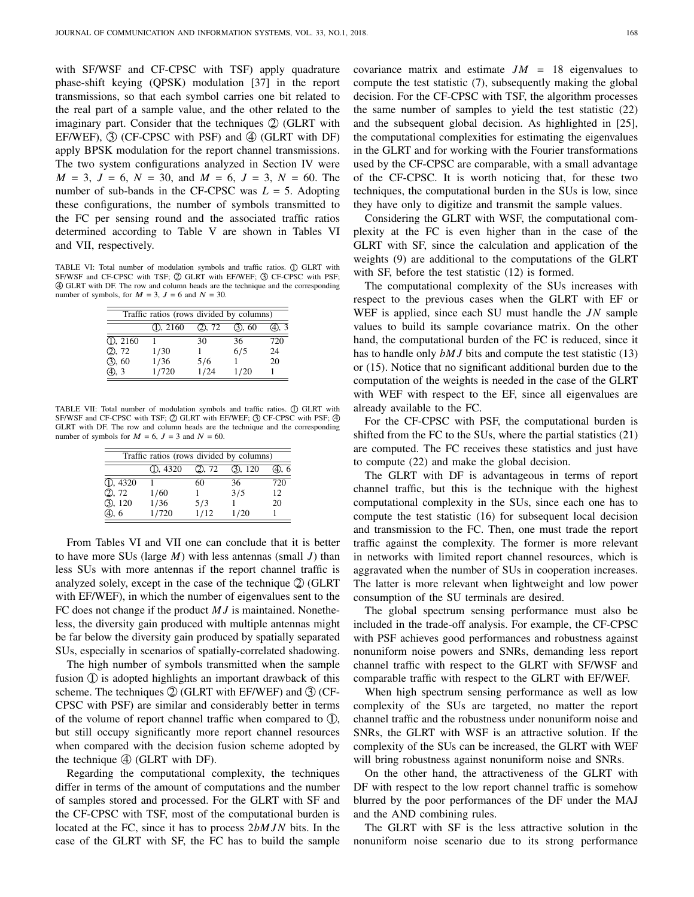with SF/WSF and CF-CPSC with TSF) apply quadrature phase-shift keying (QPSK) modulation [\[37\]](#page-12-19) in the report transmissions, so that each symbol carries one bit related to the real part of a sample value, and the other related to the imaginary part. Consider that the techniques  $Q$  (GLRT with EF/WEF),  $\circled{3}$  (CF-CPSC with PSF) and  $\circled{4}$  (GLRT with DF) apply BPSK modulation for the report channel transmissions. The two system configurations analyzed in Section [IV](#page-5-0) were  $M = 3$ ,  $J = 6$ ,  $N = 30$ , and  $M = 6$ ,  $J = 3$ ,  $N = 60$ . The number of sub-bands in the CF-CPSC was  $L = 5$ . Adopting these configurations, the number of symbols transmitted to the FC per sensing round and the associated traffic ratios determined according to Table [V](#page-9-2) are shown in Tables [VI](#page-10-0) and [VII,](#page-10-1) respectively.

<span id="page-10-0"></span>TABLE VI: Total number of modulation symbols and traffic ratios. ① GLRT with SF/WSF and CF-CPSC with TSF;  $Q$  GLRT with EF/WEF;  $Q$  CF-CPSC with PSF; 4 GLRT with DF. The row and column heads are the technique and the corresponding number of symbols, for  $M = 3$ ,  $J = 6$  and  $N = 30$ .

| Traffic ratios (rows divided by columns) |          |         |        |       |  |  |
|------------------------------------------|----------|---------|--------|-------|--|--|
|                                          | (D. 2160 | (2), 72 | 3), 60 | 4). 3 |  |  |
| ①, 2160                                  |          | 30      | 36     | 720   |  |  |
| (2), 72                                  | 1/30     |         | 6/5    | 24    |  |  |
| (3), 60                                  | 1/36     | 5/6     |        | 20    |  |  |
| 4). 3                                    | 1/720    | 1/24    | 1/20   |       |  |  |
|                                          |          |         |        |       |  |  |

<span id="page-10-1"></span>TABLE VII: Total number of modulation symbols and traffic ratios.  $\textcircled{1}$  GLRT with SF/WSF and CF-CPSC with TSF;  $\textcircled{2}$  GLRT with EF/WEF;  $\textcircled{3}$  CF-CPSC with PSF;  $\textcircled{4}$ GLRT with DF. The row and column heads are the technique and the corresponding number of symbols for  $M = 6$ ,  $J = 3$  and  $N = 60$ .

| Traffic ratios (rows divided by columns) |           |       |             |       |  |  |
|------------------------------------------|-----------|-------|-------------|-------|--|--|
|                                          | (1). 4320 | ②. 72 | $(3)$ , 120 | 4). 6 |  |  |
| (I), 4320                                |           | 60    | 36          | 720   |  |  |
| Q, 72                                    | 1/60      |       | 3/5         | 12    |  |  |
| 3), 120                                  | 1/36      | 5/3   |             | 20    |  |  |
| ). 6                                     | 1/720     | 1/12  | 1/20        |       |  |  |
|                                          |           |       |             |       |  |  |

From Tables [VI](#page-10-0) and [VII](#page-10-1) one can conclude that it is better to have more SUs (large *M*) with less antennas (small *J*) than less SUs with more antennas if the report channel traffic is analyzed solely, except in the case of the technique  $\mathcal{Q}$  (GLRT) with EF/WEF), in which the number of eigenvalues sent to the FC does not change if the product *M J* is maintained. Nonetheless, the diversity gain produced with multiple antennas might be far below the diversity gain produced by spatially separated SUs, especially in scenarios of spatially-correlated shadowing.

The high number of symbols transmitted when the sample fusion  $\Phi$  is adopted highlights an important drawback of this scheme. The techniques  $\mathcal{D}$  (GLRT with EF/WEF) and  $\mathcal{D}$  (CF-CPSC with PSF) are similar and considerably better in terms of the volume of report channel traffic when compared to  $(1)$ , but still occupy significantly more report channel resources when compared with the decision fusion scheme adopted by the technique  $\Phi$  (GLRT with DF).

Regarding the computational complexity, the techniques differ in terms of the amount of computations and the number of samples stored and processed. For the GLRT with SF and the CF-CPSC with TSF, most of the computational burden is located at the FC, since it has to process 2*bM JN* bits. In the case of the GLRT with SF, the FC has to build the sample covariance matrix and estimate  $JM = 18$  eigenvalues to compute the test statistic [\(7\)](#page-3-4), subsequently making the global decision. For the CF-CPSC with TSF, the algorithm processes the same number of samples to yield the test statistic [\(22\)](#page-5-4) and the subsequent global decision. As highlighted in [\[25\]](#page-12-7), the computational complexities for estimating the eigenvalues in the GLRT and for working with the Fourier transformations used by the CF-CPSC are comparable, with a small advantage of the CF-CPSC. It is worth noticing that, for these two techniques, the computational burden in the SUs is low, since they have only to digitize and transmit the sample values.

Considering the GLRT with WSF, the computational complexity at the FC is even higher than in the case of the GLRT with SF, since the calculation and application of the weights [\(9\)](#page-4-2) are additional to the computations of the GLRT with SF, before the test statistic [\(12\)](#page-4-4) is formed.

The computational complexity of the SUs increases with respect to the previous cases when the GLRT with EF or WEF is applied, since each SU must handle the *JN* sample values to build its sample covariance matrix. On the other hand, the computational burden of the FC is reduced, since it has to handle only *bM J* bits and compute the test statistic [\(13\)](#page-4-5) or [\(15\)](#page-4-3). Notice that no significant additional burden due to the computation of the weights is needed in the case of the GLRT with WEF with respect to the EF, since all eigenvalues are already available to the FC.

For the CF-CPSC with PSF, the computational burden is shifted from the FC to the SUs, where the partial statistics [\(21\)](#page-5-1) are computed. The FC receives these statistics and just have to compute [\(22\)](#page-5-4) and make the global decision.

The GLRT with DF is advantageous in terms of report channel traffic, but this is the technique with the highest computational complexity in the SUs, since each one has to compute the test statistic [\(16\)](#page-4-6) for subsequent local decision and transmission to the FC. Then, one must trade the report traffic against the complexity. The former is more relevant in networks with limited report channel resources, which is aggravated when the number of SUs in cooperation increases. The latter is more relevant when lightweight and low power consumption of the SU terminals are desired.

The global spectrum sensing performance must also be included in the trade-off analysis. For example, the CF-CPSC with PSF achieves good performances and robustness against nonuniform noise powers and SNRs, demanding less report channel traffic with respect to the GLRT with SF/WSF and comparable traffic with respect to the GLRT with EF/WEF.

When high spectrum sensing performance as well as low complexity of the SUs are targeted, no matter the report channel traffic and the robustness under nonuniform noise and SNRs, the GLRT with WSF is an attractive solution. If the complexity of the SUs can be increased, the GLRT with WEF will bring robustness against nonuniform noise and SNRs.

On the other hand, the attractiveness of the GLRT with DF with respect to the low report channel traffic is somehow blurred by the poor performances of the DF under the MAJ and the AND combining rules.

The GLRT with SF is the less attractive solution in the nonuniform noise scenario due to its strong performance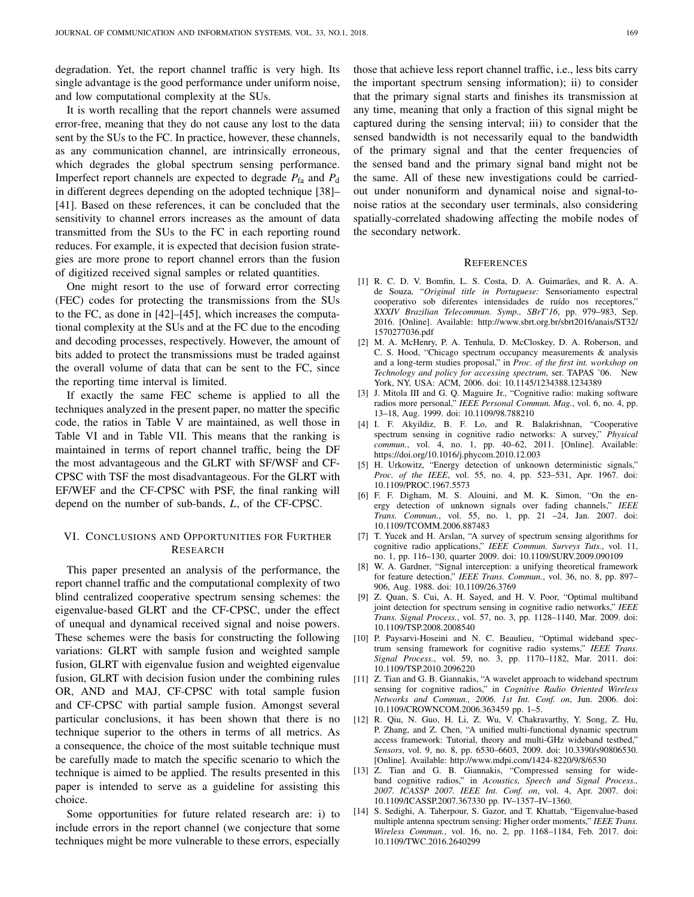degradation. Yet, the report channel traffic is very high. Its single advantage is the good performance under uniform noise, and low computational complexity at the SUs.

It is worth recalling that the report channels were assumed error-free, meaning that they do not cause any lost to the data sent by the SUs to the FC. In practice, however, these channels, as any communication channel, are intrinsically erroneous, which degrades the global spectrum sensing performance. Imperfect report channels are expected to degrade  $P_{fa}$  and  $P_{d}$ in different degrees depending on the adopted technique [\[38\]](#page-12-20)– [\[41\]](#page-12-21). Based on these references, it can be concluded that the sensitivity to channel errors increases as the amount of data transmitted from the SUs to the FC in each reporting round reduces. For example, it is expected that decision fusion strategies are more prone to report channel errors than the fusion of digitized received signal samples or related quantities.

One might resort to the use of forward error correcting (FEC) codes for protecting the transmissions from the SUs to the FC, as done in [\[42\]](#page-12-22)–[\[45\]](#page-12-23), which increases the computational complexity at the SUs and at the FC due to the encoding and decoding processes, respectively. However, the amount of bits added to protect the transmissions must be traded against the overall volume of data that can be sent to the FC, since the reporting time interval is limited.

If exactly the same FEC scheme is applied to all the techniques analyzed in the present paper, no matter the specific code, the ratios in Table [V](#page-9-2) are maintained, as well those in Table [VI](#page-10-0) and in Table [VII.](#page-10-1) This means that the ranking is maintained in terms of report channel traffic, being the DF the most advantageous and the GLRT with SF/WSF and CF-CPSC with TSF the most disadvantageous. For the GLRT with EF/WEF and the CF-CPSC with PSF, the final ranking will depend on the number of sub-bands, *L*, of the CF-CPSC.

# <span id="page-11-14"></span>VI. CONCLUSIONS AND OPPORTUNITIES FOR FURTHER RESEARCH

This paper presented an analysis of the performance, the report channel traffic and the computational complexity of two blind centralized cooperative spectrum sensing schemes: the eigenvalue-based GLRT and the CF-CPSC, under the effect of unequal and dynamical received signal and noise powers. These schemes were the basis for constructing the following variations: GLRT with sample fusion and weighted sample fusion, GLRT with eigenvalue fusion and weighted eigenvalue fusion, GLRT with decision fusion under the combining rules OR, AND and MAJ, CF-CPSC with total sample fusion and CF-CPSC with partial sample fusion. Amongst several particular conclusions, it has been shown that there is no technique superior to the others in terms of all metrics. As a consequence, the choice of the most suitable technique must be carefully made to match the specific scenario to which the technique is aimed to be applied. The results presented in this paper is intended to serve as a guideline for assisting this choice.

Some opportunities for future related research are: i) to include errors in the report channel (we conjecture that some techniques might be more vulnerable to these errors, especially those that achieve less report channel traffic, i.e., less bits carry the important spectrum sensing information); ii) to consider that the primary signal starts and finishes its transmission at any time, meaning that only a fraction of this signal might be captured during the sensing interval; iii) to consider that the sensed bandwidth is not necessarily equal to the bandwidth of the primary signal and that the center frequencies of the sensed band and the primary signal band might not be the same. All of these new investigations could be carriedout under nonuniform and dynamical noise and signal-tonoise ratios at the secondary user terminals, also considering spatially-correlated shadowing affecting the mobile nodes of the secondary network.

#### **REFERENCES**

- <span id="page-11-1"></span>[1] R. C. D. V. Bomfin, L. S. Costa, D. A. Guimarães, and R. A. A. de Souza, "*Original title in Portuguese:* Sensoriamento espectral cooperativo sob diferentes intensidades de ruído nos receptores," *XXXIV Brazilian Telecommun. Symp., SBrT'16*, pp. 979–983, Sep. 2016. [Online]. Available: [http://www.sbrt.org.br/sbrt2016/anais/ST32/](http://www.sbrt.org.br/sbrt2016/anais/ST32/1570277036.pdf) [1570277036.pdf](http://www.sbrt.org.br/sbrt2016/anais/ST32/1570277036.pdf)
- <span id="page-11-0"></span>[2] M. A. McHenry, P. A. Tenhula, D. McCloskey, D. A. Roberson, and C. S. Hood, "Chicago spectrum occupancy measurements & analysis and a long-term studies proposal," in *Proc. of the first int. workshop on Technology and policy for accessing spectrum*, ser. TAPAS '06. New York, NY, USA: ACM, 2006. doi: 10.1145/1234388.1234389
- <span id="page-11-2"></span>[3] J. Mitola III and G. Q. Maguire Jr., "Cognitive radio: making software radios more personal," *IEEE Personal Commun. Mag.*, vol. 6, no. 4, pp. 13–18, Aug. 1999. doi: 10.1109/98.788210
- <span id="page-11-3"></span>[4] I. F. Akyildiz, B. F. Lo, and R. Balakrishnan, "Cooperative spectrum sensing in cognitive radio networks: A survey," *Physical commun.*, vol. 4, no. 1, pp. 40–62, 2011. [Online]. Available: <https://doi.org/10.1016/j.phycom.2010.12.003>
- <span id="page-11-4"></span>[5] H. Urkowitz, "Energy detection of unknown deterministic signals," *Proc. of the IEEE*, vol. 55, no. 4, pp. 523–531, Apr. 1967. doi: 10.1109/PROC.1967.5573
- <span id="page-11-5"></span>[6] F. F. Digham, M. S. Alouini, and M. K. Simon, "On the energy detection of unknown signals over fading channels," *IEEE Trans. Commun.*, vol. 55, no. 1, pp. 21 –24, Jan. 2007. doi: 10.1109/TCOMM.2006.887483
- <span id="page-11-6"></span>[7] T. Yucek and H. Arslan, "A survey of spectrum sensing algorithms for cognitive radio applications," *IEEE Commun. Surveys Tuts.*, vol. 11, no. 1, pp. 116–130, quarter 2009. doi: 10.1109/SURV.2009.090109
- <span id="page-11-7"></span>[8] W. A. Gardner, "Signal interception: a unifying theoretical framework for feature detection," *IEEE Trans. Commun.*, vol. 36, no. 8, pp. 897– 906, Aug. 1988. doi: 10.1109/26.3769
- <span id="page-11-8"></span>[9] Z. Quan, S. Cui, A. H. Sayed, and H. V. Poor, "Optimal multiband joint detection for spectrum sensing in cognitive radio networks," *IEEE Trans. Signal Process.*, vol. 57, no. 3, pp. 1128–1140, Mar. 2009. doi: 10.1109/TSP.2008.2008540
- <span id="page-11-9"></span>[10] P. Paysarvi-Hoseini and N. C. Beaulieu, "Optimal wideband spectrum sensing framework for cognitive radio systems," *IEEE Trans. Signal Process.*, vol. 59, no. 3, pp. 1170–1182, Mar. 2011. doi: 10.1109/TSP.2010.2096220
- <span id="page-11-10"></span>[11] Z. Tian and G. B. Giannakis, "A wavelet approach to wideband spectrum sensing for cognitive radios," in *Cognitive Radio Oriented Wireless Networks and Commun., 2006. 1st Int. Conf. on*, Jun. 2006. doi: 10.1109/CROWNCOM.2006.363459 pp. 1–5.
- <span id="page-11-11"></span>[12] R. Qiu, N. Guo, H. Li, Z. Wu, V. Chakravarthy, Y. Song, Z. Hu, P. Zhang, and Z. Chen, "A unified multi-functional dynamic spectrum access framework: Tutorial, theory and multi-GHz wideband testbed," *Sensors*, vol. 9, no. 8, pp. 6530–6603, 2009. doi: 10.3390/s90806530. [Online]. Available:<http://www.mdpi.com/1424-8220/9/8/6530>
- <span id="page-11-12"></span>[13] Z. Tian and G. B. Giannakis, "Compressed sensing for wideband cognitive radios," in *Acoustics, Speech and Signal Process., 2007. ICASSP 2007. IEEE Int. Conf. on*, vol. 4, Apr. 2007. doi: 10.1109/ICASSP.2007.367330 pp. IV–1357–IV–1360.
- <span id="page-11-13"></span>[14] S. Sedighi, A. Taherpour, S. Gazor, and T. Khattab, "Eigenvalue-based multiple antenna spectrum sensing: Higher order moments," *IEEE Trans. Wireless Commun.*, vol. 16, no. 2, pp. 1168–1184, Feb. 2017. doi: 10.1109/TWC.2016.2640299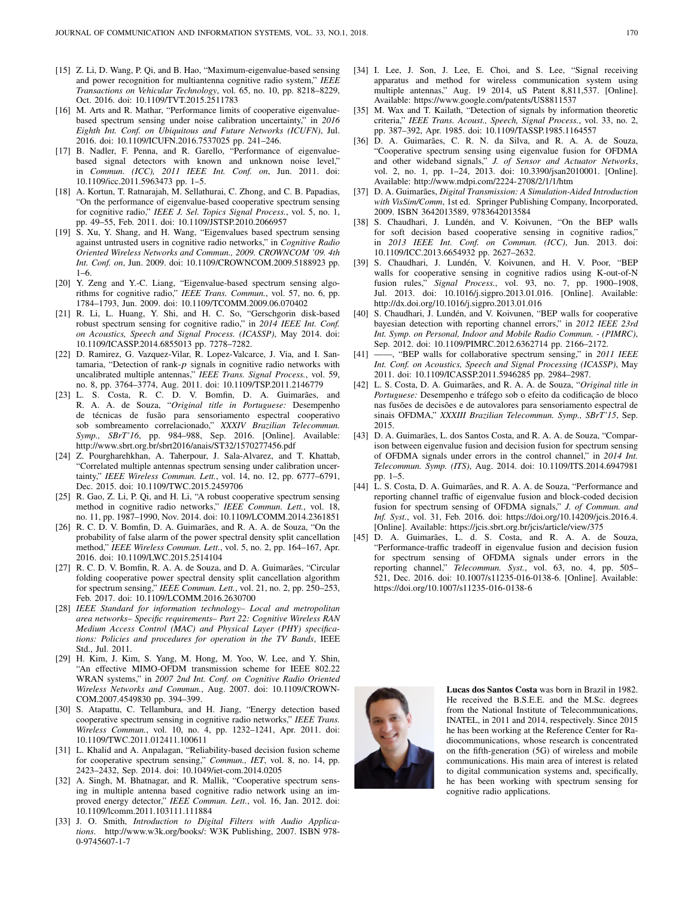- [15] Z. Li, D. Wang, P. Qi, and B. Hao, "Maximum-eigenvalue-based sensing and power recognition for multiantenna cognitive radio system," *IEEE Transactions on Vehicular Technology*, vol. 65, no. 10, pp. 8218–8229, Oct. 2016. doi: 10.1109/TVT.2015.2511783
- [16] M. Arts and R. Mathar, "Performance limits of cooperative eigenvaluebased spectrum sensing under noise calibration uncertainty," in *2016 Eighth Int. Conf. on Ubiquitous and Future Networks (ICUFN)*, Jul. 2016. doi: 10.1109/ICUFN.2016.7537025 pp. 241–246.
- <span id="page-12-1"></span>[17] B. Nadler, F. Penna, and R. Garello, "Performance of eigenvaluebased signal detectors with known and unknown noise level," in *Commun. (ICC), 2011 IEEE Int. Conf. on*, Jun. 2011. doi: 10.1109/icc.2011.5963473 pp. 1–5.
- <span id="page-12-2"></span>[18] A. Kortun, T. Ratnarajah, M. Sellathurai, C. Zhong, and C. B. Papadias, "On the performance of eigenvalue-based cooperative spectrum sensing for cognitive radio," *IEEE J. Sel. Topics Signal Process.*, vol. 5, no. 1, pp. 49–55, Feb. 2011. doi: 10.1109/JSTSP.2010.2066957
- [19] S. Xu, Y. Shang, and H. Wang, "Eigenvalues based spectrum sensing against untrusted users in cognitive radio networks," in *Cognitive Radio Oriented Wireless Networks and Commun., 2009. CROWNCOM '09. 4th Int. Conf. on*, Jun. 2009. doi: 10.1109/CROWNCOM.2009.5188923 pp. 1–6.
- <span id="page-12-0"></span>[20] Y. Zeng and Y.-C. Liang, "Eigenvalue-based spectrum sensing algorithms for cognitive radio," *IEEE Trans. Commun.*, vol. 57, no. 6, pp. 1784–1793, Jun. 2009. doi: 10.1109/TCOMM.2009.06.070402
- <span id="page-12-3"></span>[21] R. Li, L. Huang, Y. Shi, and H. C. So, "Gerschgorin disk-based robust spectrum sensing for cognitive radio," in *2014 IEEE Int. Conf. on Acoustics, Speech and Signal Process. (ICASSP)*, May 2014. doi: 10.1109/ICASSP.2014.6855013 pp. 7278–7282.
- <span id="page-12-4"></span>[22] D. Ramirez, G. Vazquez-Vilar, R. Lopez-Valcarce, J. Via, and I. Santamaria, "Detection of rank- $p$  signals in cognitive radio networks with uncalibrated multiple antennas," *IEEE Trans. Signal Process.*, vol. 59, no. 8, pp. 3764–3774, Aug. 2011. doi: 10.1109/TSP.2011.2146779
- <span id="page-12-5"></span>[23] L. S. Costa, R. C. D. V. Bomfin, D. A. Guimarães, and R. A. A. de Souza, "*Original title in Portuguese:* Desempenho de técnicas de fusão para sensoriamento espectral cooperativo sob sombreamento correlacionado," *XXXIV Brazilian Telecommun. Symp., SBrT'16*, pp. 984–988, Sep. 2016. [Online]. Available: <http://www.sbrt.org.br/sbrt2016/anais/ST32/1570277456.pdf>
- <span id="page-12-6"></span>[24] Z. Pourgharehkhan, A. Taherpour, J. Sala-Alvarez, and T. Khattab, "Correlated multiple antennas spectrum sensing under calibration uncertainty," *IEEE Wireless Commun. Lett.*, vol. 14, no. 12, pp. 6777–6791, Dec. 2015. doi: 10.1109/TWC.2015.2459706
- <span id="page-12-7"></span>[25] R. Gao, Z. Li, P. Qi, and H. Li, "A robust cooperative spectrum sensing method in cognitive radio networks," *IEEE Commun. Lett.*, vol. 18, no. 11, pp. 1987–1990, Nov. 2014. doi: 10.1109/LCOMM.2014.2361851
- <span id="page-12-8"></span>[26] R. C. D. V. Bomfin, D. A. Guimarães, and R. A. A. de Souza, "On the probability of false alarm of the power spectral density split cancellation method," *IEEE Wireless Commun. Lett.*, vol. 5, no. 2, pp. 164–167, Apr. 2016. doi: 10.1109/LWC.2015.2514104
- <span id="page-12-9"></span>[27] R. C. D. V. Bomfin, R. A. A. de Souza, and D. A. Guimarães, "Circular folding cooperative power spectral density split cancellation algorithm for spectrum sensing," *IEEE Commun. Lett.*, vol. 21, no. 2, pp. 250–253, Feb. 2017. doi: 10.1109/LCOMM.2016.2630700
- <span id="page-12-10"></span>[28] *IEEE Standard for information technology– Local and metropolitan area networks– Specific requirements– Part 22: Cognitive Wireless RAN Medium Access Control (MAC) and Physical Layer (PHY) specifications: Policies and procedures for operation in the TV Bands*, IEEE Std., Jul. 2011.
- <span id="page-12-11"></span>[29] H. Kim, J. Kim, S. Yang, M. Hong, M. Yoo, W. Lee, and Y. Shin, "An effective MIMO-OFDM transmission scheme for IEEE 802.22 WRAN systems," in *2007 2nd Int. Conf. on Cognitive Radio Oriented Wireless Networks and Commun.*, Aug. 2007. doi: 10.1109/CROWN-COM.2007.4549830 pp. 394–399.
- <span id="page-12-12"></span>[30] S. Atapattu, C. Tellambura, and H. Jiang, "Energy detection based cooperative spectrum sensing in cognitive radio networks," *IEEE Trans. Wireless Commun.*, vol. 10, no. 4, pp. 1232–1241, Apr. 2011. doi: 10.1109/TWC.2011.012411.100611
- <span id="page-12-13"></span>[31] L. Khalid and A. Anpalagan, "Reliability-based decision fusion scheme for cooperative spectrum sensing," *Commun., IET*, vol. 8, no. 14, pp. 2423–2432, Sep. 2014. doi: 10.1049/iet-com.2014.0205
- <span id="page-12-14"></span>[32] A. Singh, M. Bhatnagar, and R. Mallik, "Cooperative spectrum sensing in multiple antenna based cognitive radio network using an improved energy detector," *IEEE Commun. Lett.*, vol. 16, Jan. 2012. doi: 10.1109/lcomm.2011.103111.111884
- <span id="page-12-15"></span>[33] J. O. Smith, *Introduction to Digital Filters with Audio Applications*. [http://www.w3k.org/books/:](http://www.w3k.org/books/) W3K Publishing, 2007. ISBN 978- 0-9745607-1-7
- <span id="page-12-16"></span>[34] I. Lee, J. Son, J. Lee, E. Choi, and S. Lee, "Signal receiving apparatus and method for wireless communication system using multiple antennas," Aug. 19 2014, uS Patent 8,811,537. [Online]. Available:<https://www.google.com/patents/US8811537>
- <span id="page-12-17"></span>[35] M. Wax and T. Kailath, "Detection of signals by information theoretic criteria," *IEEE Trans. Acoust., Speech, Signal Process.*, vol. 33, no. 2, pp. 387–392, Apr. 1985. doi: 10.1109/TASSP.1985.1164557
- <span id="page-12-18"></span>[36] D. A. Guimarães, C. R. N. da Silva, and R. A. A. de Souza, "Cooperative spectrum sensing using eigenvalue fusion for OFDMA and other wideband signals," *J. of Sensor and Actuator Networks*, vol. 2, no. 1, pp. 1–24, 2013. doi: 10.3390/jsan2010001. [Online]. Available:<http://www.mdpi.com/2224-2708/2/1/1/htm>
- <span id="page-12-19"></span>[37] D. A. Guimarães, *Digital Transmission: A Simulation-Aided Introduction with VisSim/Comm*, 1st ed. Springer Publishing Company, Incorporated, 2009. ISBN 3642013589, 9783642013584
- <span id="page-12-20"></span>[38] S. Chaudhari, J. Lundén, and V. Koivunen, "On the BEP walls for soft decision based cooperative sensing in cognitive radios," in *2013 IEEE Int. Conf. on Commun. (ICC)*, Jun. 2013. doi: 10.1109/ICC.2013.6654932 pp. 2627–2632.
- [39] S. Chaudhari, J. Lundén, V. Koivunen, and H. V. Poor, "BEP walls for cooperative sensing in cognitive radios using K-out-of-N fusion rules," *Signal Process.*, vol. 93, no. 7, pp. 1900–1908, Jul. 2013. doi: 10.1016/j.sigpro.2013.01.016. [Online]. Available: <http://dx.doi.org/10.1016/j.sigpro.2013.01.016>
- [40] S. Chaudhari, J. Lundén, and V. Koivunen, "BEP walls for cooperative bayesian detection with reporting channel errors," in *2012 IEEE 23rd Int. Symp. on Personal, Indoor and Mobile Radio Commun. - (PIMRC)*, Sep. 2012. doi: 10.1109/PIMRC.2012.6362714 pp. 2166–2172.
- <span id="page-12-21"></span>[41] ——, "BEP walls for collaborative spectrum sensing," in *2011 IEEE Int. Conf. on Acoustics, Speech and Signal Processing (ICASSP)*, May 2011. doi: 10.1109/ICASSP.2011.5946285 pp. 2984–2987.
- <span id="page-12-22"></span>[42] L. S. Costa, D. A. Guimarães, and R. A. A. de Souza, "Original title in *Portuguese:* Desempenho e tráfego sob o efeito da codificação de bloco nas fusões de decisões e de autovalores para sensoriamento espectral de sinais OFDMA," *XXXIII Brazilian Telecommun. Symp., SBrT'15*, Sep. 2015.
- [43] D. A. Guimarães, L. dos Santos Costa, and R. A. A. de Souza, "Comparison between eigenvalue fusion and decision fusion for spectrum sensing of OFDMA signals under errors in the control channel," in *2014 Int. Telecommun. Symp. (ITS)*, Aug. 2014. doi: 10.1109/ITS.2014.6947981 pp. 1–5.
- [44] L. S. Costa, D. A. Guimarães, and R. A. A. de Souza, "Performance and reporting channel traffic of eigenvalue fusion and block-coded decision fusion for spectrum sensing of OFDMA signals," *J. of Commun. and Inf. Syst.*, vol. 31, Feb. 2016. doi: https://doi.org/10.14209/jcis.2016.4. [Online]. Available:<https://jcis.sbrt.org.br/jcis/article/view/375>
- <span id="page-12-23"></span>[45] D. A. Guimarães, L. d. S. Costa, and R. A. A. de Souza, "Performance-traffic tradeoff in eigenvalue fusion and decision fusion for spectrum sensing of OFDMA signals under errors in the reporting channel," *Telecommun. Syst.*, vol. 63, no. 4, pp. 505– 521, Dec. 2016. doi: 10.1007/s11235-016-0138-6. [Online]. Available: <https://doi.org/10.1007/s11235-016-0138-6>



Lucas dos Santos Costa was born in Brazil in 1982. He received the B.S.E.E. and the M.Sc. degrees from the National Institute of Telecommunications, INATEL, in 2011 and 2014, respectively. Since 2015 he has been working at the Reference Center for Radiocommunications, whose research is concentrated on the fifth-generation (5G) of wireless and mobile communications. His main area of interest is related to digital communication systems and, specifically, he has been working with spectrum sensing for cognitive radio applications.